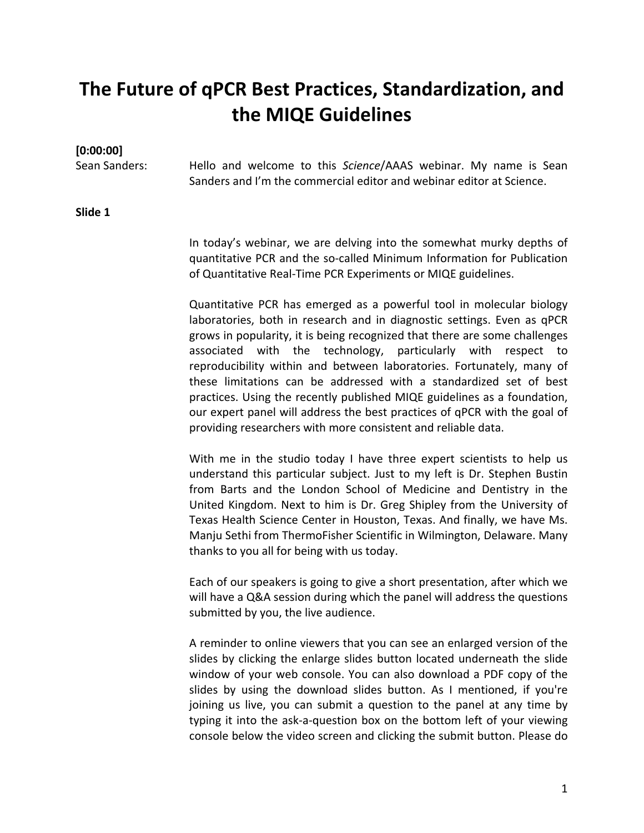# **The Future of qPCR Best Practices, Standardization, and the MIQE Guidelines**

## **[0:00:00]**

Sean Sanders: Hello and welcome to this *Science*/AAAS webinar. My name is Sean Sanders and I'm the commercial editor and webinar editor at Science.

### **Slide 1**

In today's webinar, we are delving into the somewhat murky depths of quantitative PCR and the so‐called Minimum Information for Publication of Quantitative Real‐Time PCR Experiments or MIQE guidelines.

Quantitative PCR has emerged as a powerful tool in molecular biology laboratories, both in research and in diagnostic settings. Even as qPCR grows in popularity, it is being recognized that there are some challenges associated with the technology, particularly with respect to reproducibility within and between laboratories. Fortunately, many of these limitations can be addressed with a standardized set of best practices. Using the recently published MIQE guidelines as a foundation, our expert panel will address the best practices of qPCR with the goal of providing researchers with more consistent and reliable data.

With me in the studio today I have three expert scientists to help us understand this particular subject. Just to my left is Dr. Stephen Bustin from Barts and the London School of Medicine and Dentistry in the United Kingdom. Next to him is Dr. Greg Shipley from the University of Texas Health Science Center in Houston, Texas. And finally, we have Ms. Manju Sethi from ThermoFisher Scientific in Wilmington, Delaware. Many thanks to you all for being with us today.

Each of our speakers is going to give a short presentation, after which we will have a Q&A session during which the panel will address the questions submitted by you, the live audience.

A reminder to online viewers that you can see an enlarged version of the slides by clicking the enlarge slides button located underneath the slide window of your web console. You can also download a PDF copy of the slides by using the download slides button. As I mentioned, if you're joining us live, you can submit a question to the panel at any time by typing it into the ask‐a‐question box on the bottom left of your viewing console below the video screen and clicking the submit button. Please do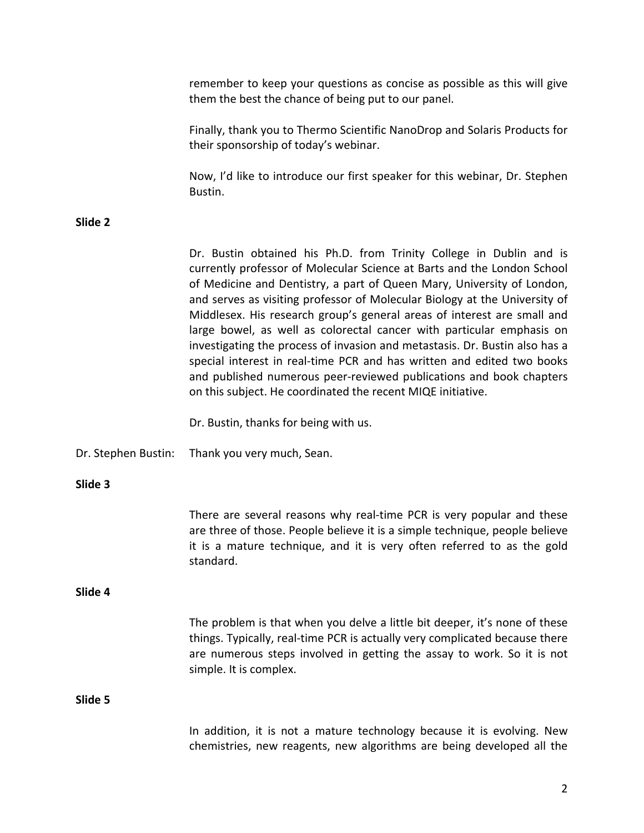|                     | remember to keep your questions as concise as possible as this will give<br>them the best the chance of being put to our panel.                                                                                                                                                                                                                                                                                                                                                                                                                                                                                                                                                                                                                           |
|---------------------|-----------------------------------------------------------------------------------------------------------------------------------------------------------------------------------------------------------------------------------------------------------------------------------------------------------------------------------------------------------------------------------------------------------------------------------------------------------------------------------------------------------------------------------------------------------------------------------------------------------------------------------------------------------------------------------------------------------------------------------------------------------|
|                     | Finally, thank you to Thermo Scientific NanoDrop and Solaris Products for<br>their sponsorship of today's webinar.                                                                                                                                                                                                                                                                                                                                                                                                                                                                                                                                                                                                                                        |
|                     | Now, I'd like to introduce our first speaker for this webinar, Dr. Stephen<br>Bustin.                                                                                                                                                                                                                                                                                                                                                                                                                                                                                                                                                                                                                                                                     |
| Slide 2             |                                                                                                                                                                                                                                                                                                                                                                                                                                                                                                                                                                                                                                                                                                                                                           |
|                     | Dr. Bustin obtained his Ph.D. from Trinity College in Dublin and is<br>currently professor of Molecular Science at Barts and the London School<br>of Medicine and Dentistry, a part of Queen Mary, University of London,<br>and serves as visiting professor of Molecular Biology at the University of<br>Middlesex. His research group's general areas of interest are small and<br>large bowel, as well as colorectal cancer with particular emphasis on<br>investigating the process of invasion and metastasis. Dr. Bustin also has a<br>special interest in real-time PCR and has written and edited two books<br>and published numerous peer-reviewed publications and book chapters<br>on this subject. He coordinated the recent MIQE initiative. |
|                     | Dr. Bustin, thanks for being with us.                                                                                                                                                                                                                                                                                                                                                                                                                                                                                                                                                                                                                                                                                                                     |
| Dr. Stephen Bustin: | Thank you very much, Sean.                                                                                                                                                                                                                                                                                                                                                                                                                                                                                                                                                                                                                                                                                                                                |
| Slide 3             |                                                                                                                                                                                                                                                                                                                                                                                                                                                                                                                                                                                                                                                                                                                                                           |
|                     | There are several reasons why real-time PCR is very popular and these<br>are three of those. People believe it is a simple technique, people believe<br>it is a mature technique, and it is very often referred to as the gold<br>standard.                                                                                                                                                                                                                                                                                                                                                                                                                                                                                                               |
| Slide 4             |                                                                                                                                                                                                                                                                                                                                                                                                                                                                                                                                                                                                                                                                                                                                                           |
|                     | The problem is that when you delve a little bit deeper, it's none of these<br>things. Typically, real-time PCR is actually very complicated because there<br>are numerous steps involved in getting the assay to work. So it is not<br>simple. It is complex.                                                                                                                                                                                                                                                                                                                                                                                                                                                                                             |
| Slide 5             |                                                                                                                                                                                                                                                                                                                                                                                                                                                                                                                                                                                                                                                                                                                                                           |
|                     | In addition, it is not a mature technology because it is evolving. New<br>chemistries, new reagents, new algorithms are being developed all the                                                                                                                                                                                                                                                                                                                                                                                                                                                                                                                                                                                                           |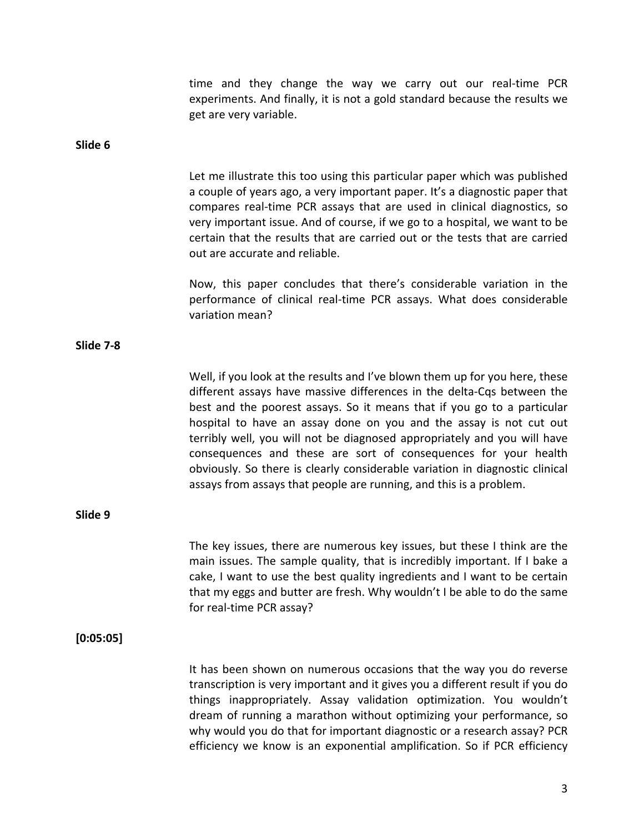|           | time and they change the way we carry out our real-time PCR<br>experiments. And finally, it is not a gold standard because the results we<br>get are very variable.                                                                                                                                                                                                                                                                                                                                                                                                                                         |
|-----------|-------------------------------------------------------------------------------------------------------------------------------------------------------------------------------------------------------------------------------------------------------------------------------------------------------------------------------------------------------------------------------------------------------------------------------------------------------------------------------------------------------------------------------------------------------------------------------------------------------------|
| Slide 6   |                                                                                                                                                                                                                                                                                                                                                                                                                                                                                                                                                                                                             |
|           | Let me illustrate this too using this particular paper which was published<br>a couple of years ago, a very important paper. It's a diagnostic paper that<br>compares real-time PCR assays that are used in clinical diagnostics, so<br>very important issue. And of course, if we go to a hospital, we want to be<br>certain that the results that are carried out or the tests that are carried<br>out are accurate and reliable.                                                                                                                                                                         |
|           | Now, this paper concludes that there's considerable variation in the<br>performance of clinical real-time PCR assays. What does considerable<br>variation mean?                                                                                                                                                                                                                                                                                                                                                                                                                                             |
| Slide 7-8 |                                                                                                                                                                                                                                                                                                                                                                                                                                                                                                                                                                                                             |
|           | Well, if you look at the results and I've blown them up for you here, these<br>different assays have massive differences in the delta-Cqs between the<br>best and the poorest assays. So it means that if you go to a particular<br>hospital to have an assay done on you and the assay is not cut out<br>terribly well, you will not be diagnosed appropriately and you will have<br>consequences and these are sort of consequences for your health<br>obviously. So there is clearly considerable variation in diagnostic clinical<br>assays from assays that people are running, and this is a problem. |
| Slide 9   |                                                                                                                                                                                                                                                                                                                                                                                                                                                                                                                                                                                                             |
|           | The key issues, there are numerous key issues, but these I think are the<br>main issues. The sample quality, that is incredibly important. If I bake a<br>cake, I want to use the best quality ingredients and I want to be certain<br>that my eggs and butter are fresh. Why wouldn't I be able to do the same<br>for real-time PCR assay?                                                                                                                                                                                                                                                                 |
| [0:05:05] |                                                                                                                                                                                                                                                                                                                                                                                                                                                                                                                                                                                                             |
|           | It has been shown on numerous occasions that the way you do reverse<br>transcription is very important and it gives you a different result if you do<br>things inappropriately. Assay validation optimization. You wouldn't<br>dream of running a marathon without optimizing your performance, so<br>why would you do that for important diagnostic or a research assay? PCR<br>efficiency we know is an exponential amplification. So if PCR efficiency                                                                                                                                                   |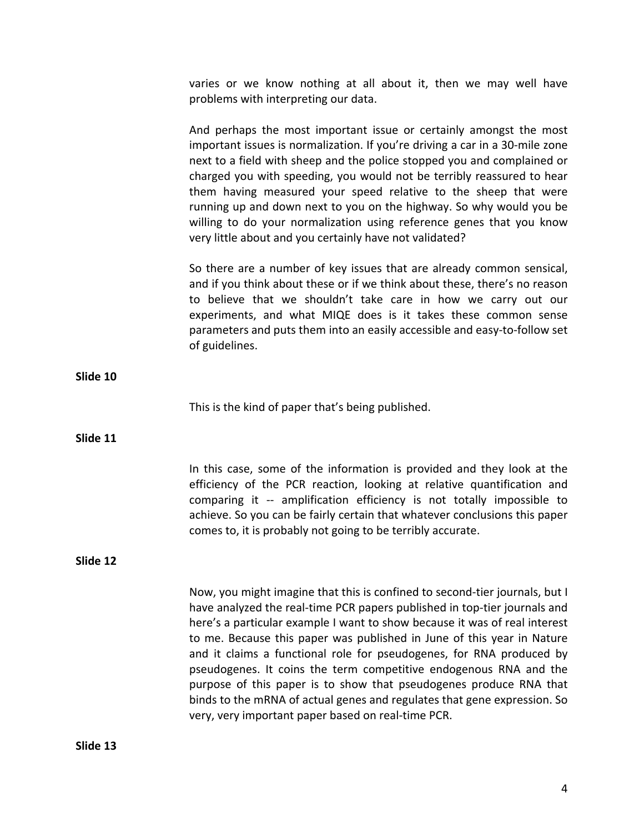varies or we know nothing at all about it, then we may well have problems with interpreting our data.

And perhaps the most important issue or certainly amongst the most important issues is normalization. If you're driving a car in a 30‐mile zone next to a field with sheep and the police stopped you and complained or charged you with speeding, you would not be terribly reassured to hear them having measured your speed relative to the sheep that were running up and down next to you on the highway. So why would you be willing to do your normalization using reference genes that you know very little about and you certainly have not validated?

So there are a number of key issues that are already common sensical, and if you think about these or if we think about these, there's no reason to believe that we shouldn't take care in how we carry out our experiments, and what MIQE does is it takes these common sense parameters and puts them into an easily accessible and easy‐to‐follow set of guidelines.

**Slide 10**

This is the kind of paper that's being published.

**Slide 11**

In this case, some of the information is provided and they look at the efficiency of the PCR reaction, looking at relative quantification and comparing it -- amplification efficiency is not totally impossible to achieve. So you can be fairly certain that whatever conclusions this paper comes to, it is probably not going to be terribly accurate.

**Slide 12**

Now, you might imagine that this is confined to second‐tier journals, but I have analyzed the real-time PCR papers published in top-tier journals and here's a particular example I want to show because it was of real interest to me. Because this paper was published in June of this year in Nature and it claims a functional role for pseudogenes, for RNA produced by pseudogenes. It coins the term competitive endogenous RNA and the purpose of this paper is to show that pseudogenes produce RNA that binds to the mRNA of actual genes and regulates that gene expression. So very, very important paper based on real‐time PCR.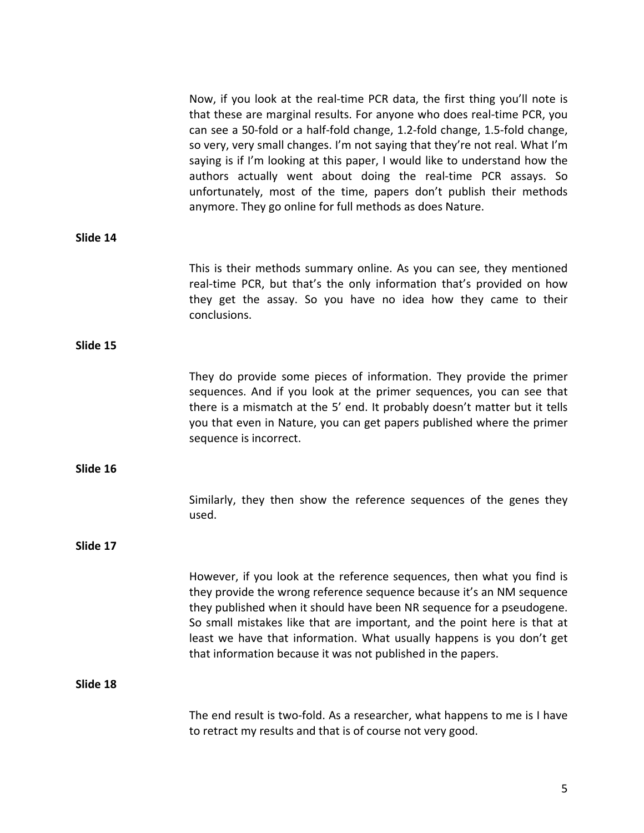|          | Now, if you look at the real-time PCR data, the first thing you'll note is<br>that these are marginal results. For anyone who does real-time PCR, you<br>can see a 50-fold or a half-fold change, 1.2-fold change, 1.5-fold change,<br>so very, very small changes. I'm not saying that they're not real. What I'm<br>saying is if I'm looking at this paper, I would like to understand how the<br>authors actually went about doing the real-time PCR assays. So<br>unfortunately, most of the time, papers don't publish their methods<br>anymore. They go online for full methods as does Nature. |
|----------|-------------------------------------------------------------------------------------------------------------------------------------------------------------------------------------------------------------------------------------------------------------------------------------------------------------------------------------------------------------------------------------------------------------------------------------------------------------------------------------------------------------------------------------------------------------------------------------------------------|
| Slide 14 |                                                                                                                                                                                                                                                                                                                                                                                                                                                                                                                                                                                                       |
|          | This is their methods summary online. As you can see, they mentioned<br>real-time PCR, but that's the only information that's provided on how<br>they get the assay. So you have no idea how they came to their<br>conclusions.                                                                                                                                                                                                                                                                                                                                                                       |
| Slide 15 |                                                                                                                                                                                                                                                                                                                                                                                                                                                                                                                                                                                                       |
|          | They do provide some pieces of information. They provide the primer<br>sequences. And if you look at the primer sequences, you can see that<br>there is a mismatch at the 5' end. It probably doesn't matter but it tells<br>you that even in Nature, you can get papers published where the primer<br>sequence is incorrect.                                                                                                                                                                                                                                                                         |
| Slide 16 |                                                                                                                                                                                                                                                                                                                                                                                                                                                                                                                                                                                                       |
|          | Similarly, they then show the reference sequences of the genes they<br>used.                                                                                                                                                                                                                                                                                                                                                                                                                                                                                                                          |
| Slide 17 |                                                                                                                                                                                                                                                                                                                                                                                                                                                                                                                                                                                                       |
|          | However, if you look at the reference sequences, then what you find is<br>they provide the wrong reference sequence because it's an NM sequence<br>they published when it should have been NR sequence for a pseudogene.<br>So small mistakes like that are important, and the point here is that at<br>least we have that information. What usually happens is you don't get<br>that information because it was not published in the papers.                                                                                                                                                         |
| Slide 18 |                                                                                                                                                                                                                                                                                                                                                                                                                                                                                                                                                                                                       |
|          | The end result is two-fold. As a researcher, what happens to me is I have<br>to retract my results and that is of course not very good.                                                                                                                                                                                                                                                                                                                                                                                                                                                               |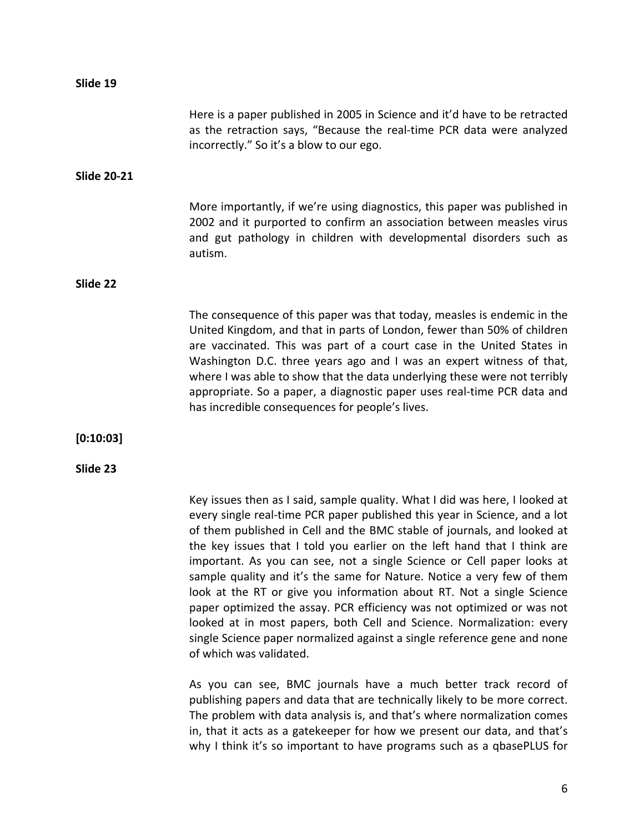| Slide 19           |                                                                                                                                                                                                                                                                                                                                                                                                                                                                                                                                                                                                                                                                                                                                                                              |
|--------------------|------------------------------------------------------------------------------------------------------------------------------------------------------------------------------------------------------------------------------------------------------------------------------------------------------------------------------------------------------------------------------------------------------------------------------------------------------------------------------------------------------------------------------------------------------------------------------------------------------------------------------------------------------------------------------------------------------------------------------------------------------------------------------|
|                    | Here is a paper published in 2005 in Science and it'd have to be retracted<br>as the retraction says, "Because the real-time PCR data were analyzed<br>incorrectly." So it's a blow to our ego.                                                                                                                                                                                                                                                                                                                                                                                                                                                                                                                                                                              |
| <b>Slide 20-21</b> |                                                                                                                                                                                                                                                                                                                                                                                                                                                                                                                                                                                                                                                                                                                                                                              |
|                    | More importantly, if we're using diagnostics, this paper was published in<br>2002 and it purported to confirm an association between measles virus<br>and gut pathology in children with developmental disorders such as<br>autism.                                                                                                                                                                                                                                                                                                                                                                                                                                                                                                                                          |
| Slide 22           |                                                                                                                                                                                                                                                                                                                                                                                                                                                                                                                                                                                                                                                                                                                                                                              |
|                    | The consequence of this paper was that today, measles is endemic in the<br>United Kingdom, and that in parts of London, fewer than 50% of children<br>are vaccinated. This was part of a court case in the United States in<br>Washington D.C. three years ago and I was an expert witness of that,<br>where I was able to show that the data underlying these were not terribly<br>appropriate. So a paper, a diagnostic paper uses real-time PCR data and<br>has incredible consequences for people's lives.                                                                                                                                                                                                                                                               |
| [0:10:03]          |                                                                                                                                                                                                                                                                                                                                                                                                                                                                                                                                                                                                                                                                                                                                                                              |
| Slide 23           |                                                                                                                                                                                                                                                                                                                                                                                                                                                                                                                                                                                                                                                                                                                                                                              |
|                    | Key issues then as I said, sample quality. What I did was here, I looked at<br>every single real-time PCR paper published this year in Science, and a lot<br>of them published in Cell and the BMC stable of journals, and looked at<br>the key issues that I told you earlier on the left hand that I think are<br>important. As you can see, not a single Science or Cell paper looks at<br>sample quality and it's the same for Nature. Notice a very few of them<br>look at the RT or give you information about RT. Not a single Science<br>paper optimized the assay. PCR efficiency was not optimized or was not<br>looked at in most papers, both Cell and Science. Normalization: every<br>single Science paper normalized against a single reference gene and none |

of which was validated.

As you can see, BMC journals have a much better track record of publishing papers and data that are technically likely to be more correct. The problem with data analysis is, and that's where normalization comes in, that it acts as a gatekeeper for how we present our data, and that's why I think it's so important to have programs such as a qbasePLUS for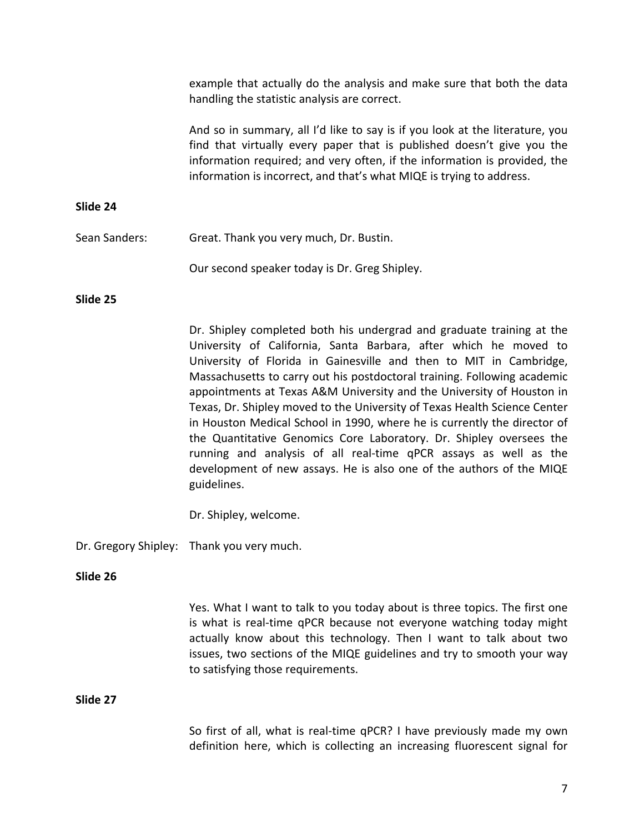|               | example that actually do the analysis and make sure that both the data<br>handling the statistic analysis are correct.                                                                                                                                                                                                                                                                                                                                                                                                                                                                                                                                                                                                                                          |
|---------------|-----------------------------------------------------------------------------------------------------------------------------------------------------------------------------------------------------------------------------------------------------------------------------------------------------------------------------------------------------------------------------------------------------------------------------------------------------------------------------------------------------------------------------------------------------------------------------------------------------------------------------------------------------------------------------------------------------------------------------------------------------------------|
|               | And so in summary, all I'd like to say is if you look at the literature, you<br>find that virtually every paper that is published doesn't give you the<br>information required; and very often, if the information is provided, the<br>information is incorrect, and that's what MIQE is trying to address.                                                                                                                                                                                                                                                                                                                                                                                                                                                     |
| Slide 24      |                                                                                                                                                                                                                                                                                                                                                                                                                                                                                                                                                                                                                                                                                                                                                                 |
| Sean Sanders: | Great. Thank you very much, Dr. Bustin.                                                                                                                                                                                                                                                                                                                                                                                                                                                                                                                                                                                                                                                                                                                         |
|               | Our second speaker today is Dr. Greg Shipley.                                                                                                                                                                                                                                                                                                                                                                                                                                                                                                                                                                                                                                                                                                                   |
| Slide 25      |                                                                                                                                                                                                                                                                                                                                                                                                                                                                                                                                                                                                                                                                                                                                                                 |
|               | Dr. Shipley completed both his undergrad and graduate training at the<br>University of California, Santa Barbara, after which he moved to<br>University of Florida in Gainesville and then to MIT in Cambridge,<br>Massachusetts to carry out his postdoctoral training. Following academic<br>appointments at Texas A&M University and the University of Houston in<br>Texas, Dr. Shipley moved to the University of Texas Health Science Center<br>in Houston Medical School in 1990, where he is currently the director of<br>the Quantitative Genomics Core Laboratory. Dr. Shipley oversees the<br>running and analysis of all real-time qPCR assays as well as the<br>development of new assays. He is also one of the authors of the MIQE<br>guidelines. |
|               | Dr. Shipley, welcome.                                                                                                                                                                                                                                                                                                                                                                                                                                                                                                                                                                                                                                                                                                                                           |
|               | Dr. Gregory Shipley: Thank you very much.                                                                                                                                                                                                                                                                                                                                                                                                                                                                                                                                                                                                                                                                                                                       |
| Slide 26      |                                                                                                                                                                                                                                                                                                                                                                                                                                                                                                                                                                                                                                                                                                                                                                 |
|               | Yes. What I want to talk to you today about is three topics. The first one<br>is what is real-time qPCR because not everyone watching today might<br>actually know about this technology. Then I want to talk about two<br>issues, two sections of the MIQE guidelines and try to smooth your way<br>to satisfying those requirements.                                                                                                                                                                                                                                                                                                                                                                                                                          |
| Slide 27      |                                                                                                                                                                                                                                                                                                                                                                                                                                                                                                                                                                                                                                                                                                                                                                 |
|               | So first of all, what is real-time qPCR? I have previously made my own<br>definition here, which is collecting an increasing fluorescent signal for                                                                                                                                                                                                                                                                                                                                                                                                                                                                                                                                                                                                             |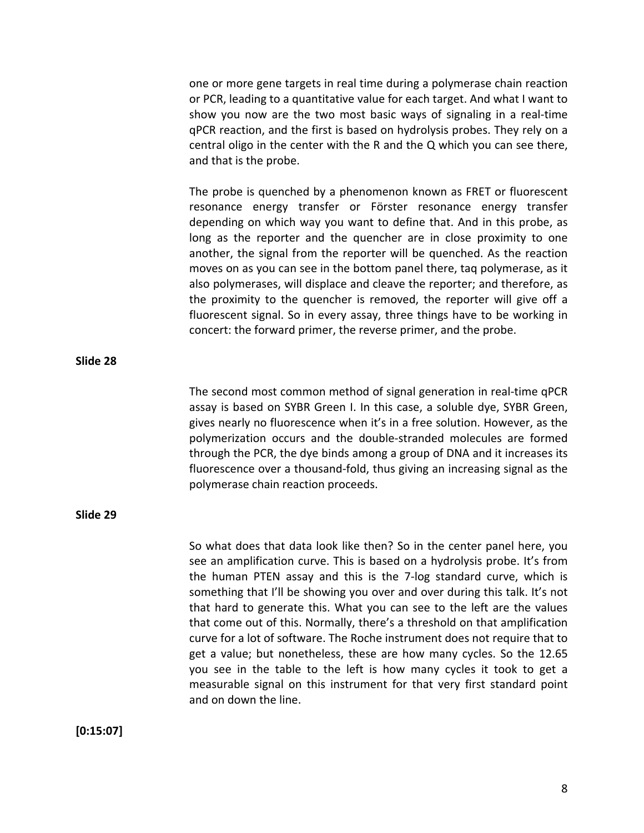one or more gene targets in real time during a polymerase chain reaction or PCR, leading to a quantitative value for each target. And what I want to show you now are the two most basic ways of signaling in a real-time qPCR reaction, and the first is based on hydrolysis probes. They rely on a central oligo in the center with the R and the Q which you can see there, and that is the probe.

The probe is quenched by a phenomenon known as FRET or fluorescent resonance energy transfer or Förster resonance energy transfer depending on which way you want to define that. And in this probe, as long as the reporter and the quencher are in close proximity to one another, the signal from the reporter will be quenched. As the reaction moves on as you can see in the bottom panel there, taq polymerase, as it also polymerases, will displace and cleave the reporter; and therefore, as the proximity to the quencher is removed, the reporter will give off a fluorescent signal. So in every assay, three things have to be working in concert: the forward primer, the reverse primer, and the probe.

The second most common method of signal generation in real‐time qPCR assay is based on SYBR Green I. In this case, a soluble dye, SYBR Green, gives nearly no fluorescence when it's in a free solution. However, as the polymerization occurs and the double‐stranded molecules are formed through the PCR, the dye binds among a group of DNA and it increases its fluorescence over a thousand‐fold, thus giving an increasing signal as the polymerase chain reaction proceeds.

**Slide 29**

**Slide 28**

So what does that data look like then? So in the center panel here, you see an amplification curve. This is based on a hydrolysis probe. It's from the human PTEN assay and this is the 7‐log standard curve, which is something that I'll be showing you over and over during this talk. It's not that hard to generate this. What you can see to the left are the values that come out of this. Normally, there's a threshold on that amplification curve for a lot of software. The Roche instrument does not require that to get a value; but nonetheless, these are how many cycles. So the 12.65 you see in the table to the left is how many cycles it took to get a measurable signal on this instrument for that very first standard point and on down the line.

**[0:15:07]**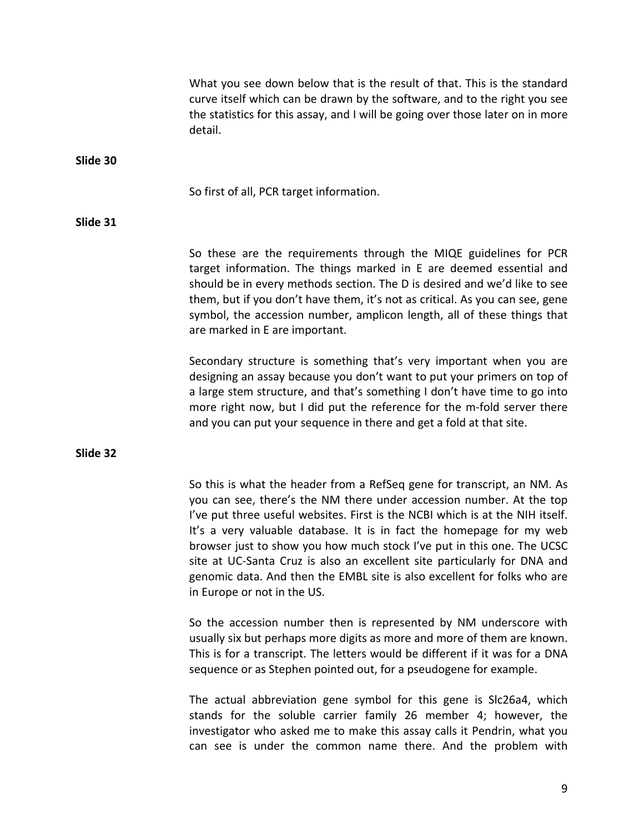|          | What you see down below that is the result of that. This is the standard<br>curve itself which can be drawn by the software, and to the right you see<br>the statistics for this assay, and I will be going over those later on in more<br>detail.                                                                                                                                                                                                                                                                                                                        |
|----------|---------------------------------------------------------------------------------------------------------------------------------------------------------------------------------------------------------------------------------------------------------------------------------------------------------------------------------------------------------------------------------------------------------------------------------------------------------------------------------------------------------------------------------------------------------------------------|
| Slide 30 |                                                                                                                                                                                                                                                                                                                                                                                                                                                                                                                                                                           |
|          | So first of all, PCR target information.                                                                                                                                                                                                                                                                                                                                                                                                                                                                                                                                  |
| Slide 31 |                                                                                                                                                                                                                                                                                                                                                                                                                                                                                                                                                                           |
|          | So these are the requirements through the MIQE guidelines for PCR<br>target information. The things marked in E are deemed essential and<br>should be in every methods section. The D is desired and we'd like to see<br>them, but if you don't have them, it's not as critical. As you can see, gene<br>symbol, the accession number, amplicon length, all of these things that<br>are marked in E are important.                                                                                                                                                        |
|          | Secondary structure is something that's very important when you are<br>designing an assay because you don't want to put your primers on top of<br>a large stem structure, and that's something I don't have time to go into<br>more right now, but I did put the reference for the m-fold server there<br>and you can put your sequence in there and get a fold at that site.                                                                                                                                                                                             |
| Slide 32 |                                                                                                                                                                                                                                                                                                                                                                                                                                                                                                                                                                           |
|          | So this is what the header from a RefSeq gene for transcript, an NM. As<br>you can see, there's the NM there under accession number. At the top<br>I've put three useful websites. First is the NCBI which is at the NIH itself.<br>It's a very valuable database. It is in fact the homepage for my web<br>browser just to show you how much stock I've put in this one. The UCSC<br>site at UC-Santa Cruz is also an excellent site particularly for DNA and<br>genomic data. And then the EMBL site is also excellent for folks who are<br>in Europe or not in the US. |
|          | So the accession number then is represented by NM underscore with<br>usually six but perhaps more digits as more and more of them are known.<br>This is for a transcript. The letters would be different if it was for a DNA<br>sequence or as Stephen pointed out, for a pseudogene for example.                                                                                                                                                                                                                                                                         |

The actual abbreviation gene symbol for this gene is Slc26a4, which stands for the soluble carrier family 26 member 4; however, the investigator who asked me to make this assay calls it Pendrin, what you can see is under the common name there. And the problem with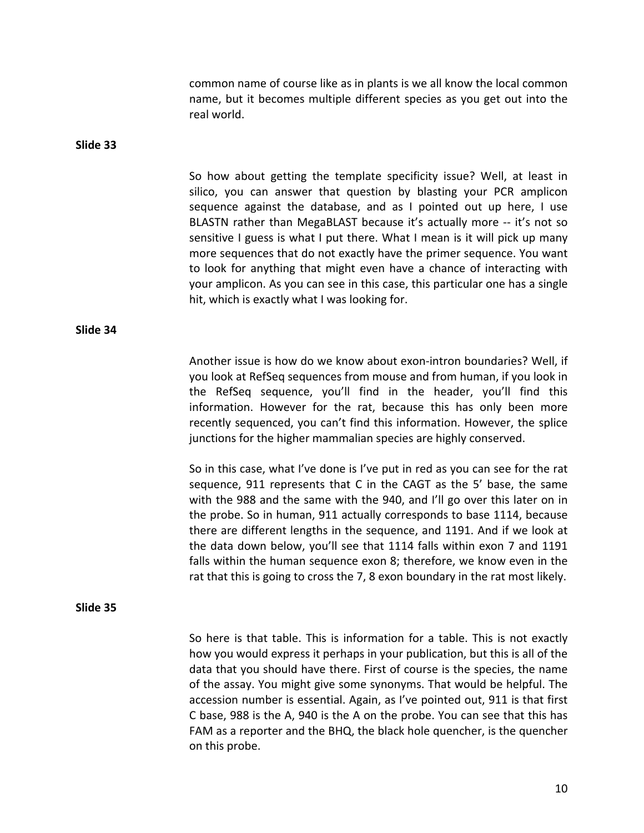common name of course like as in plants is we all know the local common name, but it becomes multiple different species as you get out into the real world.

**Slide 33**

So how about getting the template specificity issue? Well, at least in silico, you can answer that question by blasting your PCR amplicon sequence against the database, and as I pointed out up here, I use BLASTN rather than MegaBLAST because it's actually more ‐‐ it's not so sensitive I guess is what I put there. What I mean is it will pick up many more sequences that do not exactly have the primer sequence. You want to look for anything that might even have a chance of interacting with your amplicon. As you can see in this case, this particular one has a single hit, which is exactly what I was looking for.

**Slide 34**

Another issue is how do we know about exon‐intron boundaries? Well, if you look at RefSeq sequences from mouse and from human, if you look in the RefSeq sequence, you'll find in the header, you'll find this information. However for the rat, because this has only been more recently sequenced, you can't find this information. However, the splice junctions for the higher mammalian species are highly conserved.

So in this case, what I've done is I've put in red as you can see for the rat sequence, 911 represents that C in the CAGT as the 5' base, the same with the 988 and the same with the 940, and I'll go over this later on in the probe. So in human, 911 actually corresponds to base 1114, because there are different lengths in the sequence, and 1191. And if we look at the data down below, you'll see that 1114 falls within exon 7 and 1191 falls within the human sequence exon 8; therefore, we know even in the rat that this is going to cross the 7, 8 exon boundary in the rat most likely.

#### **Slide 35**

So here is that table. This is information for a table. This is not exactly how you would express it perhaps in your publication, but this is all of the data that you should have there. First of course is the species, the name of the assay. You might give some synonyms. That would be helpful. The accession number is essential. Again, as I've pointed out, 911 is that first C base, 988 is the A, 940 is the A on the probe. You can see that this has FAM as a reporter and the BHQ, the black hole quencher, is the quencher on this probe.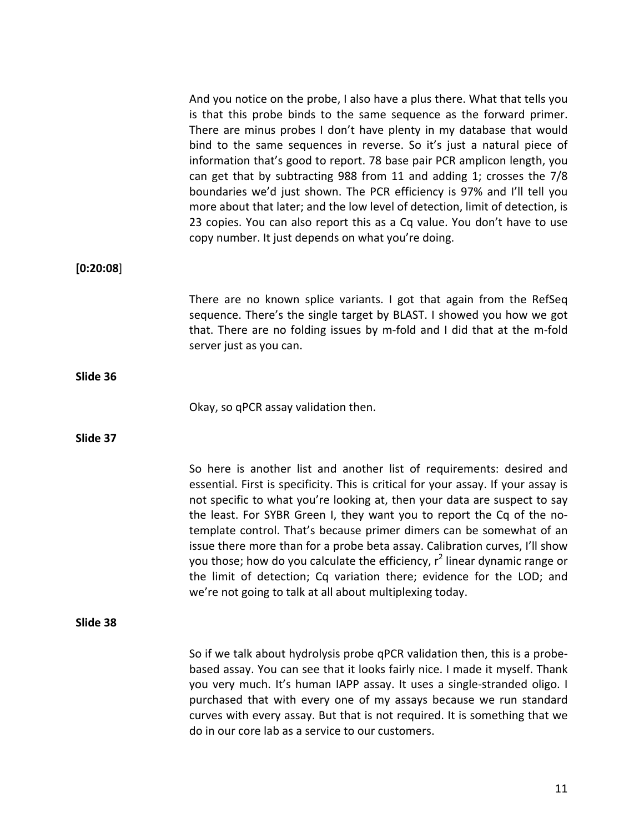|           | And you notice on the probe, I also have a plus there. What that tells you<br>is that this probe binds to the same sequence as the forward primer.<br>There are minus probes I don't have plenty in my database that would<br>bind to the same sequences in reverse. So it's just a natural piece of<br>information that's good to report. 78 base pair PCR amplicon length, you<br>can get that by subtracting 988 from 11 and adding 1; crosses the 7/8<br>boundaries we'd just shown. The PCR efficiency is 97% and I'll tell you<br>more about that later; and the low level of detection, limit of detection, is<br>23 copies. You can also report this as a Cq value. You don't have to use<br>copy number. It just depends on what you're doing. |
|-----------|---------------------------------------------------------------------------------------------------------------------------------------------------------------------------------------------------------------------------------------------------------------------------------------------------------------------------------------------------------------------------------------------------------------------------------------------------------------------------------------------------------------------------------------------------------------------------------------------------------------------------------------------------------------------------------------------------------------------------------------------------------|
| [0:20:08] |                                                                                                                                                                                                                                                                                                                                                                                                                                                                                                                                                                                                                                                                                                                                                         |
|           | There are no known splice variants. I got that again from the RefSeq<br>sequence. There's the single target by BLAST. I showed you how we got<br>that. There are no folding issues by m-fold and I did that at the m-fold<br>server just as you can.                                                                                                                                                                                                                                                                                                                                                                                                                                                                                                    |
| Slide 36  |                                                                                                                                                                                                                                                                                                                                                                                                                                                                                                                                                                                                                                                                                                                                                         |
|           | Okay, so qPCR assay validation then.                                                                                                                                                                                                                                                                                                                                                                                                                                                                                                                                                                                                                                                                                                                    |
| Slide 37  |                                                                                                                                                                                                                                                                                                                                                                                                                                                                                                                                                                                                                                                                                                                                                         |
|           | So here is another list and another list of requirements: desired and<br>essential. First is specificity. This is critical for your assay. If your assay is<br>not specific to what you're looking at, then your data are suspect to say<br>the least. For SYBR Green I, they want you to report the Cq of the no-<br>template control. That's because primer dimers can be somewhat of an<br>issue there more than for a probe beta assay. Calibration curves, I'll show<br>you those; how do you calculate the efficiency, r <sup>2</sup> linear dynamic range or<br>the limit of detection; Cq variation there; evidence for the LOD; and<br>we're not going to talk at all about multiplexing today.                                                |
| Slide 38  |                                                                                                                                                                                                                                                                                                                                                                                                                                                                                                                                                                                                                                                                                                                                                         |
|           | So if we talk about hydrolysis probe qPCR validation then, this is a probe-<br>based assay. You can see that it looks fairly nice. I made it myself. Thank<br>you very much. It's human IAPP assay. It uses a single-stranded oligo. I<br>purchased that with every one of my assays because we run standard<br>curves with every assay. But that is not required. It is something that we<br>do in our core lab as a service to our customers.                                                                                                                                                                                                                                                                                                         |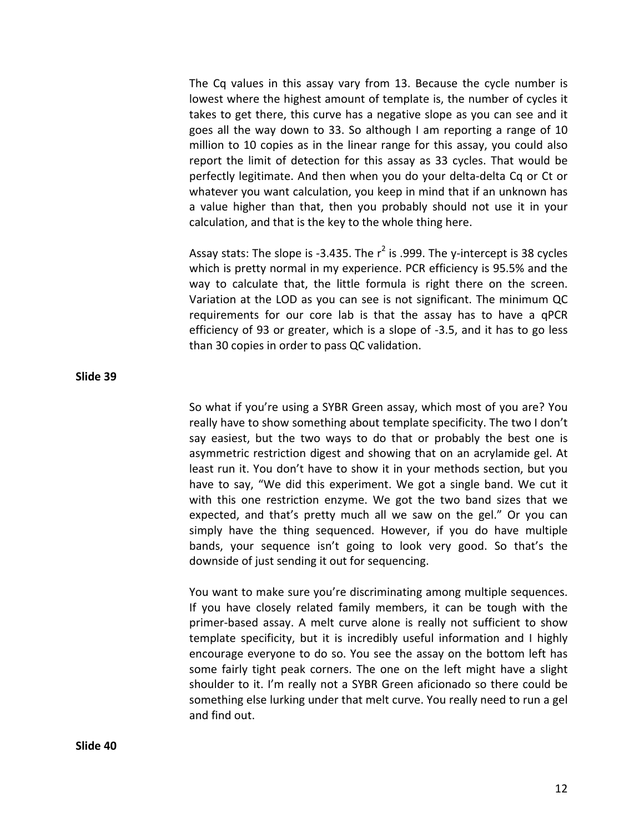The Cq values in this assay vary from 13. Because the cycle number is lowest where the highest amount of template is, the number of cycles it takes to get there, this curve has a negative slope as you can see and it goes all the way down to 33. So although I am reporting a range of 10 million to 10 copies as in the linear range for this assay, you could also report the limit of detection for this assay as 33 cycles. That would be perfectly legitimate. And then when you do your delta‐delta Cq or Ct or whatever you want calculation, you keep in mind that if an unknown has a value higher than that, then you probably should not use it in your calculation, and that is the key to the whole thing here.

Assay stats: The slope is -3.435. The  $r^2$  is .999. The y-intercept is 38 cycles which is pretty normal in my experience. PCR efficiency is 95.5% and the way to calculate that, the little formula is right there on the screen. Variation at the LOD as you can see is not significant. The minimum QC requirements for our core lab is that the assay has to have a qPCR efficiency of 93 or greater, which is a slope of ‐3.5, and it has to go less than 30 copies in order to pass QC validation.

So what if you're using a SYBR Green assay, which most of you are? You really have to show something about template specificity. The two I don't say easiest, but the two ways to do that or probably the best one is asymmetric restriction digest and showing that on an acrylamide gel. At least run it. You don't have to show it in your methods section, but you have to say, "We did this experiment. We got a single band. We cut it with this one restriction enzyme. We got the two band sizes that we expected, and that's pretty much all we saw on the gel." Or you can simply have the thing sequenced. However, if you do have multiple bands, your sequence isn't going to look very good. So that's the downside of just sending it out for sequencing.

You want to make sure you're discriminating among multiple sequences. If you have closely related family members, it can be tough with the primer‐based assay. A melt curve alone is really not sufficient to show template specificity, but it is incredibly useful information and I highly encourage everyone to do so. You see the assay on the bottom left has some fairly tight peak corners. The one on the left might have a slight shoulder to it. I'm really not a SYBR Green aficionado so there could be something else lurking under that melt curve. You really need to run a gel and find out.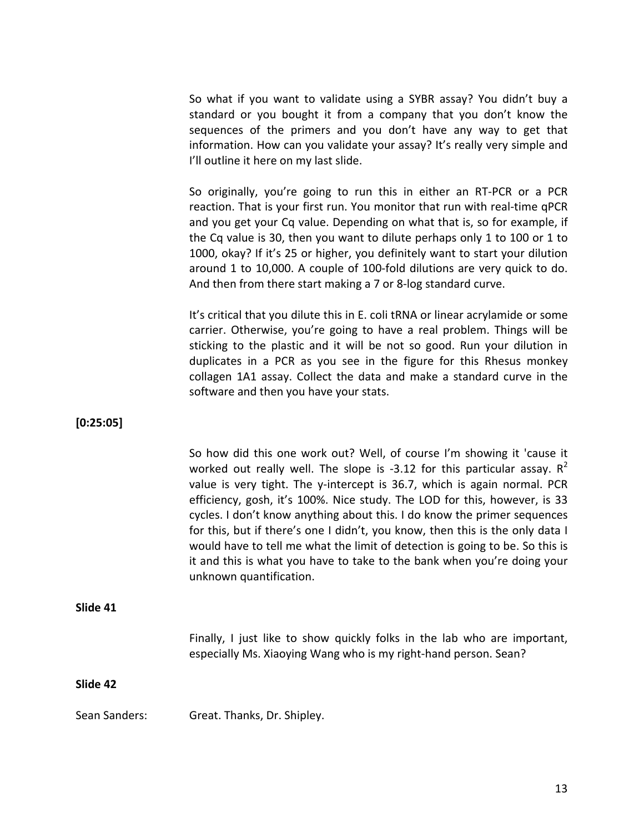So what if you want to validate using a SYBR assay? You didn't buy a standard or you bought it from a company that you don't know the sequences of the primers and you don't have any way to get that information. How can you validate your assay? It's really very simple and I'll outline it here on my last slide.

So originally, you're going to run this in either an RT‐PCR or a PCR reaction. That is your first run. You monitor that run with real‐time qPCR and you get your Cq value. Depending on what that is, so for example, if the Cq value is 30, then you want to dilute perhaps only 1 to 100 or 1 to 1000, okay? If it's 25 or higher, you definitely want to start your dilution around 1 to 10,000. A couple of 100‐fold dilutions are very quick to do. And then from there start making a 7 or 8‐log standard curve.

It's critical that you dilute this in E. coli tRNA or linear acrylamide or some carrier. Otherwise, you're going to have a real problem. Things will be sticking to the plastic and it will be not so good. Run your dilution in duplicates in a PCR as you see in the figure for this Rhesus monkey collagen 1A1 assay. Collect the data and make a standard curve in the software and then you have your stats.

**[0:25:05]**

So how did this one work out? Well, of course I'm showing it 'cause it worked out really well. The slope is  $-3.12$  for this particular assay.  $R^2$ value is very tight. The y-intercept is 36.7, which is again normal. PCR efficiency, gosh, it's 100%. Nice study. The LOD for this, however, is 33 cycles. I don't know anything about this. I do know the primer sequences for this, but if there's one I didn't, you know, then this is the only data I would have to tell me what the limit of detection is going to be. So this is it and this is what you have to take to the bank when you're doing your unknown quantification.

### **Slide 41**

Finally, I just like to show quickly folks in the lab who are important, especially Ms. Xiaoying Wang who is my right‐hand person. Sean?

## **Slide 42**

Sean Sanders: Great. Thanks, Dr. Shipley.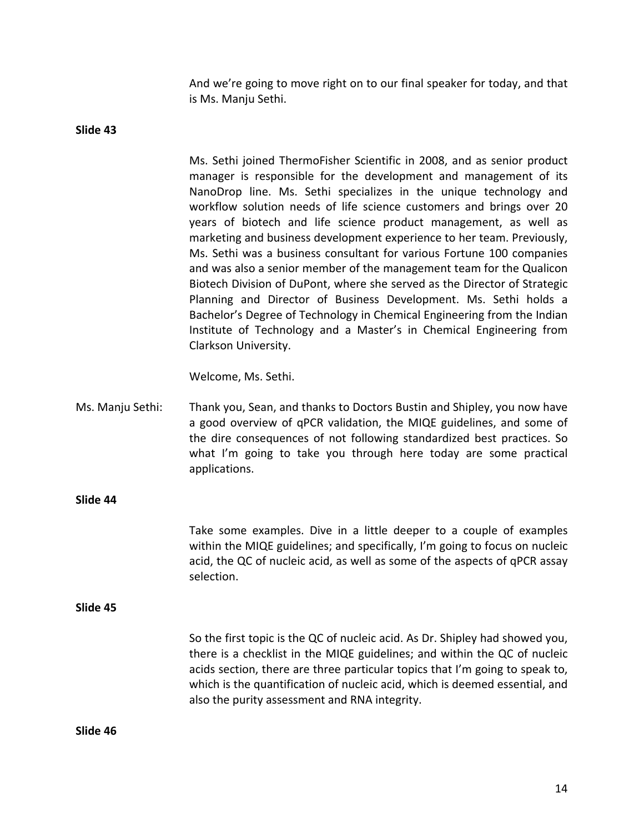And we're going to move right on to our final speaker for today, and that is Ms. Manju Sethi.

**Slide 43**

Ms. Sethi joined ThermoFisher Scientific in 2008, and as senior product manager is responsible for the development and management of its NanoDrop line. Ms. Sethi specializes in the unique technology and workflow solution needs of life science customers and brings over 20 years of biotech and life science product management, as well as marketing and business development experience to her team. Previously, Ms. Sethi was a business consultant for various Fortune 100 companies and was also a senior member of the management team for the Qualicon Biotech Division of DuPont, where she served as the Director of Strategic Planning and Director of Business Development. Ms. Sethi holds a Bachelor's Degree of Technology in Chemical Engineering from the Indian Institute of Technology and a Master's in Chemical Engineering from Clarkson University.

Welcome, Ms. Sethi.

Ms. Manju Sethi: Thank you, Sean, and thanks to Doctors Bustin and Shipley, you now have a good overview of qPCR validation, the MIQE guidelines, and some of the dire consequences of not following standardized best practices. So what I'm going to take you through here today are some practical applications.

**Slide 44**

Take some examples. Dive in a little deeper to a couple of examples within the MIQE guidelines; and specifically, I'm going to focus on nucleic acid, the QC of nucleic acid, as well as some of the aspects of qPCR assay selection.

**Slide 45**

So the first topic is the QC of nucleic acid. As Dr. Shipley had showed you, there is a checklist in the MIQE guidelines; and within the QC of nucleic acids section, there are three particular topics that I'm going to speak to, which is the quantification of nucleic acid, which is deemed essential, and also the purity assessment and RNA integrity.

**Slide 46**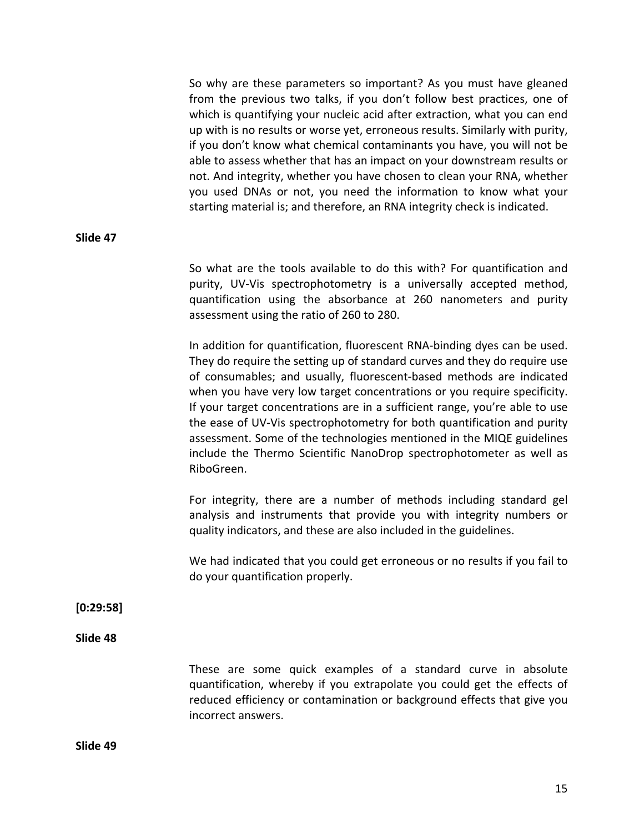So why are these parameters so important? As you must have gleaned from the previous two talks, if you don't follow best practices, one of which is quantifying your nucleic acid after extraction, what you can end up with is no results or worse yet, erroneous results. Similarly with purity, if you don't know what chemical contaminants you have, you will not be able to assess whether that has an impact on your downstream results or not. And integrity, whether you have chosen to clean your RNA, whether you used DNAs or not, you need the information to know what your starting material is; and therefore, an RNA integrity check is indicated.

#### **Slide 47**

So what are the tools available to do this with? For quantification and purity, UV‐Vis spectrophotometry is a universally accepted method, quantification using the absorbance at 260 nanometers and purity assessment using the ratio of 260 to 280.

In addition for quantification, fluorescent RNA‐binding dyes can be used. They do require the setting up of standard curves and they do require use of consumables; and usually, fluorescent‐based methods are indicated when you have very low target concentrations or you require specificity. If your target concentrations are in a sufficient range, you're able to use the ease of UV‐Vis spectrophotometry for both quantification and purity assessment. Some of the technologies mentioned in the MIQE guidelines include the Thermo Scientific NanoDrop spectrophotometer as well as RiboGreen.

For integrity, there are a number of methods including standard gel analysis and instruments that provide you with integrity numbers or quality indicators, and these are also included in the guidelines.

We had indicated that you could get erroneous or no results if you fail to do your quantification properly.

**[0:29:58]**

**Slide 48**

These are some quick examples of a standard curve in absolute quantification, whereby if you extrapolate you could get the effects of reduced efficiency or contamination or background effects that give you incorrect answers.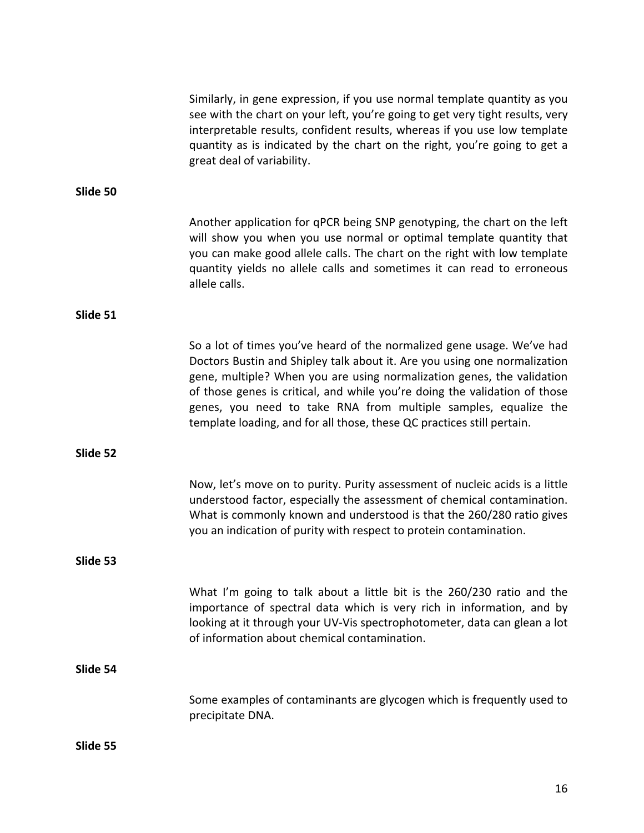|          | Similarly, in gene expression, if you use normal template quantity as you<br>see with the chart on your left, you're going to get very tight results, very<br>interpretable results, confident results, whereas if you use low template<br>quantity as is indicated by the chart on the right, you're going to get a<br>great deal of variability.                                                                                                       |
|----------|----------------------------------------------------------------------------------------------------------------------------------------------------------------------------------------------------------------------------------------------------------------------------------------------------------------------------------------------------------------------------------------------------------------------------------------------------------|
| Slide 50 |                                                                                                                                                                                                                                                                                                                                                                                                                                                          |
|          | Another application for qPCR being SNP genotyping, the chart on the left<br>will show you when you use normal or optimal template quantity that<br>you can make good allele calls. The chart on the right with low template<br>quantity yields no allele calls and sometimes it can read to erroneous<br>allele calls.                                                                                                                                   |
| Slide 51 |                                                                                                                                                                                                                                                                                                                                                                                                                                                          |
|          | So a lot of times you've heard of the normalized gene usage. We've had<br>Doctors Bustin and Shipley talk about it. Are you using one normalization<br>gene, multiple? When you are using normalization genes, the validation<br>of those genes is critical, and while you're doing the validation of those<br>genes, you need to take RNA from multiple samples, equalize the<br>template loading, and for all those, these QC practices still pertain. |
| Slide 52 |                                                                                                                                                                                                                                                                                                                                                                                                                                                          |
|          | Now, let's move on to purity. Purity assessment of nucleic acids is a little<br>understood factor, especially the assessment of chemical contamination.<br>What is commonly known and understood is that the 260/280 ratio gives<br>you an indication of purity with respect to protein contamination.                                                                                                                                                   |
| Slide 53 |                                                                                                                                                                                                                                                                                                                                                                                                                                                          |
|          | What I'm going to talk about a little bit is the 260/230 ratio and the<br>importance of spectral data which is very rich in information, and by<br>looking at it through your UV-Vis spectrophotometer, data can glean a lot<br>of information about chemical contamination.                                                                                                                                                                             |
| Slide 54 |                                                                                                                                                                                                                                                                                                                                                                                                                                                          |
|          | Some examples of contaminants are glycogen which is frequently used to<br>precipitate DNA.                                                                                                                                                                                                                                                                                                                                                               |
| Slide 55 |                                                                                                                                                                                                                                                                                                                                                                                                                                                          |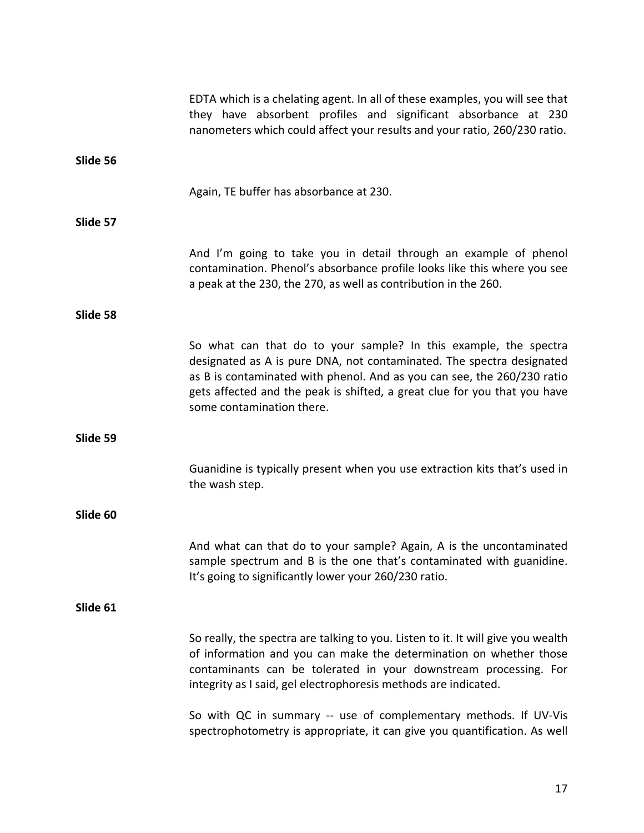|          | EDTA which is a chelating agent. In all of these examples, you will see that<br>they have absorbent profiles and significant absorbance at 230<br>nanometers which could affect your results and your ratio, 260/230 ratio.                                                                                                    |
|----------|--------------------------------------------------------------------------------------------------------------------------------------------------------------------------------------------------------------------------------------------------------------------------------------------------------------------------------|
| Slide 56 |                                                                                                                                                                                                                                                                                                                                |
|          | Again, TE buffer has absorbance at 230.                                                                                                                                                                                                                                                                                        |
| Slide 57 |                                                                                                                                                                                                                                                                                                                                |
|          | And I'm going to take you in detail through an example of phenol<br>contamination. Phenol's absorbance profile looks like this where you see<br>a peak at the 230, the 270, as well as contribution in the 260.                                                                                                                |
| Slide 58 |                                                                                                                                                                                                                                                                                                                                |
|          | So what can that do to your sample? In this example, the spectra<br>designated as A is pure DNA, not contaminated. The spectra designated<br>as B is contaminated with phenol. And as you can see, the 260/230 ratio<br>gets affected and the peak is shifted, a great clue for you that you have<br>some contamination there. |
| Slide 59 |                                                                                                                                                                                                                                                                                                                                |
|          | Guanidine is typically present when you use extraction kits that's used in<br>the wash step.                                                                                                                                                                                                                                   |
| Slide 60 |                                                                                                                                                                                                                                                                                                                                |
|          | And what can that do to your sample? Again, A is the uncontaminated<br>sample spectrum and B is the one that's contaminated with guanidine.<br>It's going to significantly lower your 260/230 ratio.                                                                                                                           |
| Slide 61 |                                                                                                                                                                                                                                                                                                                                |
|          | So really, the spectra are talking to you. Listen to it. It will give you wealth<br>of information and you can make the determination on whether those<br>contaminants can be tolerated in your downstream processing. For<br>integrity as I said, gel electrophoresis methods are indicated.                                  |
|          | So with QC in summary -- use of complementary methods. If UV-Vis<br>spectrophotometry is appropriate, it can give you quantification. As well                                                                                                                                                                                  |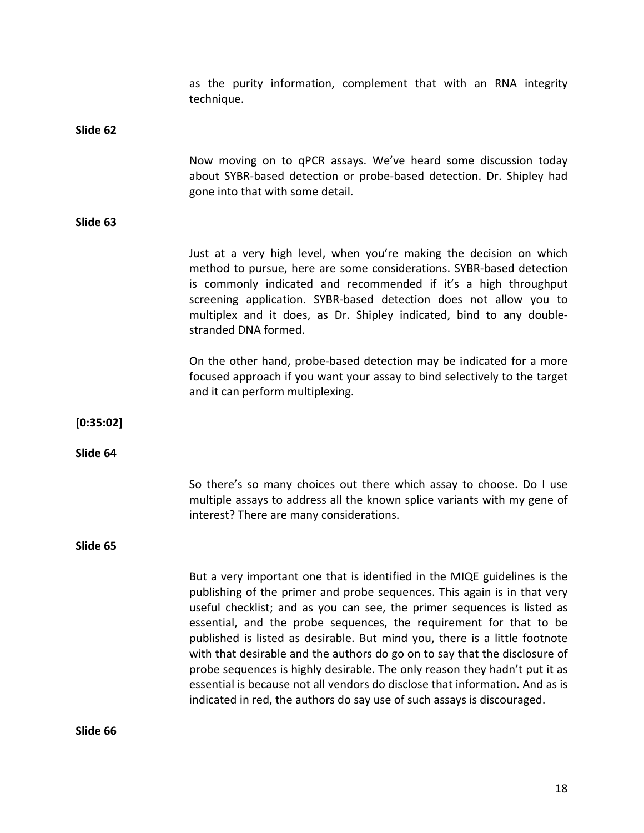|           | as the purity information, complement that with an RNA integrity<br>technique.                                                                                                                                                                                                                                                                                                                                                                                                                                                                                                                                                                                                                              |
|-----------|-------------------------------------------------------------------------------------------------------------------------------------------------------------------------------------------------------------------------------------------------------------------------------------------------------------------------------------------------------------------------------------------------------------------------------------------------------------------------------------------------------------------------------------------------------------------------------------------------------------------------------------------------------------------------------------------------------------|
| Slide 62  |                                                                                                                                                                                                                                                                                                                                                                                                                                                                                                                                                                                                                                                                                                             |
|           | Now moving on to qPCR assays. We've heard some discussion today<br>about SYBR-based detection or probe-based detection. Dr. Shipley had<br>gone into that with some detail.                                                                                                                                                                                                                                                                                                                                                                                                                                                                                                                                 |
| Slide 63  |                                                                                                                                                                                                                                                                                                                                                                                                                                                                                                                                                                                                                                                                                                             |
|           | Just at a very high level, when you're making the decision on which<br>method to pursue, here are some considerations. SYBR-based detection<br>is commonly indicated and recommended if it's a high throughput<br>screening application. SYBR-based detection does not allow you to<br>multiplex and it does, as Dr. Shipley indicated, bind to any double-<br>stranded DNA formed.                                                                                                                                                                                                                                                                                                                         |
|           | On the other hand, probe-based detection may be indicated for a more<br>focused approach if you want your assay to bind selectively to the target<br>and it can perform multiplexing.                                                                                                                                                                                                                                                                                                                                                                                                                                                                                                                       |
| [0:35:02] |                                                                                                                                                                                                                                                                                                                                                                                                                                                                                                                                                                                                                                                                                                             |
| Slide 64  |                                                                                                                                                                                                                                                                                                                                                                                                                                                                                                                                                                                                                                                                                                             |
|           | So there's so many choices out there which assay to choose. Do I use<br>multiple assays to address all the known splice variants with my gene of<br>interest? There are many considerations.                                                                                                                                                                                                                                                                                                                                                                                                                                                                                                                |
| Slide 65  |                                                                                                                                                                                                                                                                                                                                                                                                                                                                                                                                                                                                                                                                                                             |
|           | But a very important one that is identified in the MIQE guidelines is the<br>publishing of the primer and probe sequences. This again is in that very<br>useful checklist; and as you can see, the primer sequences is listed as<br>essential, and the probe sequences, the requirement for that to be<br>published is listed as desirable. But mind you, there is a little footnote<br>with that desirable and the authors do go on to say that the disclosure of<br>probe sequences is highly desirable. The only reason they hadn't put it as<br>essential is because not all vendors do disclose that information. And as is<br>indicated in red, the authors do say use of such assays is discouraged. |

**Slide 66**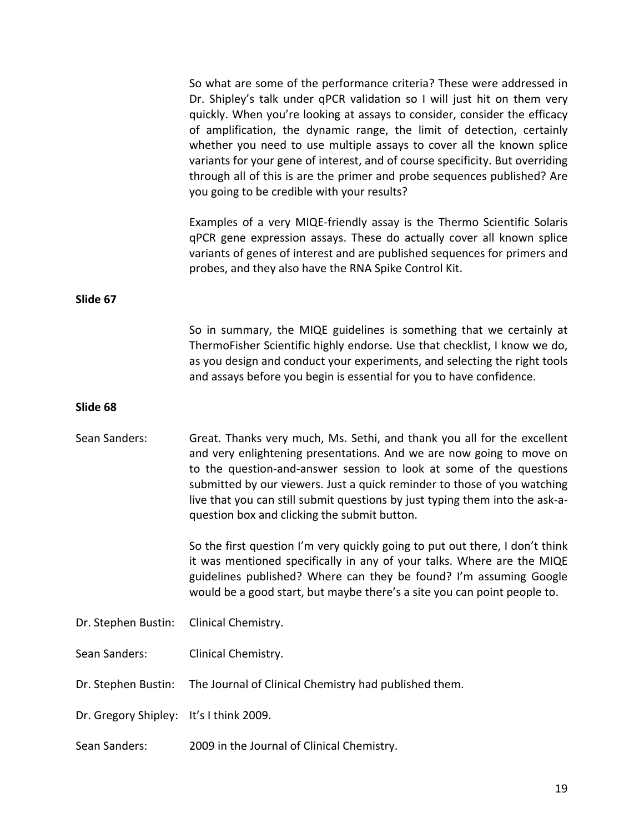|                      | So what are some of the performance criteria? These were addressed in<br>Dr. Shipley's talk under qPCR validation so I will just hit on them very<br>quickly. When you're looking at assays to consider, consider the efficacy<br>of amplification, the dynamic range, the limit of detection, certainly<br>whether you need to use multiple assays to cover all the known splice<br>variants for your gene of interest, and of course specificity. But overriding<br>through all of this is are the primer and probe sequences published? Are<br>you going to be credible with your results? |
|----------------------|-----------------------------------------------------------------------------------------------------------------------------------------------------------------------------------------------------------------------------------------------------------------------------------------------------------------------------------------------------------------------------------------------------------------------------------------------------------------------------------------------------------------------------------------------------------------------------------------------|
|                      | Examples of a very MIQE-friendly assay is the Thermo Scientific Solaris<br>qPCR gene expression assays. These do actually cover all known splice<br>variants of genes of interest and are published sequences for primers and<br>probes, and they also have the RNA Spike Control Kit.                                                                                                                                                                                                                                                                                                        |
| Slide 67             |                                                                                                                                                                                                                                                                                                                                                                                                                                                                                                                                                                                               |
|                      | So in summary, the MIQE guidelines is something that we certainly at<br>ThermoFisher Scientific highly endorse. Use that checklist, I know we do,<br>as you design and conduct your experiments, and selecting the right tools<br>and assays before you begin is essential for you to have confidence.                                                                                                                                                                                                                                                                                        |
| Slide 68             |                                                                                                                                                                                                                                                                                                                                                                                                                                                                                                                                                                                               |
| Sean Sanders:        | Great. Thanks very much, Ms. Sethi, and thank you all for the excellent<br>and very enlightening presentations. And we are now going to move on<br>to the question-and-answer session to look at some of the questions<br>submitted by our viewers. Just a quick reminder to those of you watching<br>live that you can still submit questions by just typing them into the ask-a-<br>question box and clicking the submit button.                                                                                                                                                            |
|                      | So the first question I'm very quickly going to put out there, I don't think<br>it was mentioned specifically in any of your talks. Where are the MIQE<br>guidelines published? Where can they be found? I'm assuming Google<br>would be a good start, but maybe there's a site you can point people to.                                                                                                                                                                                                                                                                                      |
| Dr. Stephen Bustin:  | Clinical Chemistry.                                                                                                                                                                                                                                                                                                                                                                                                                                                                                                                                                                           |
| Sean Sanders:        | Clinical Chemistry.                                                                                                                                                                                                                                                                                                                                                                                                                                                                                                                                                                           |
| Dr. Stephen Bustin:  | The Journal of Clinical Chemistry had published them.                                                                                                                                                                                                                                                                                                                                                                                                                                                                                                                                         |
| Dr. Gregory Shipley: | It's I think 2009.                                                                                                                                                                                                                                                                                                                                                                                                                                                                                                                                                                            |
| Sean Sanders:        | 2009 in the Journal of Clinical Chemistry.                                                                                                                                                                                                                                                                                                                                                                                                                                                                                                                                                    |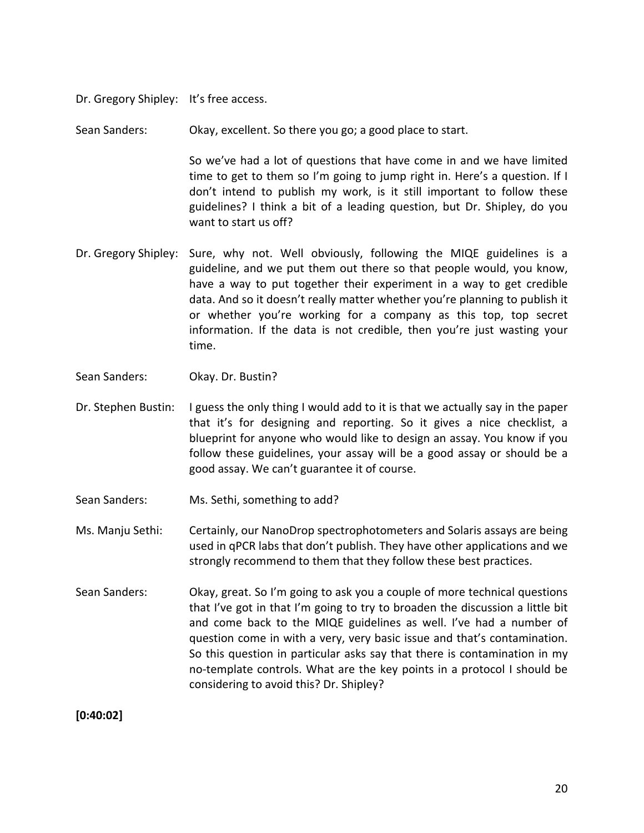Dr. Gregory Shipley: It's free access.

Sean Sanders: Okay, excellent. So there you go; a good place to start.

So we've had a lot of questions that have come in and we have limited time to get to them so I'm going to jump right in. Here's a question. If I don't intend to publish my work, is it still important to follow these guidelines? I think a bit of a leading question, but Dr. Shipley, do you want to start us off?

- Dr. Gregory Shipley: Sure, why not. Well obviously, following the MIQE guidelines is a guideline, and we put them out there so that people would, you know, have a way to put together their experiment in a way to get credible data. And so it doesn't really matter whether you're planning to publish it or whether you're working for a company as this top, top secret information. If the data is not credible, then you're just wasting your time.
- Sean Sanders: Okay. Dr. Bustin?
- Dr. Stephen Bustin: I guess the only thing I would add to it is that we actually say in the paper that it's for designing and reporting. So it gives a nice checklist, a blueprint for anyone who would like to design an assay. You know if you follow these guidelines, your assay will be a good assay or should be a good assay. We can't guarantee it of course.
- Sean Sanders: Ms. Sethi, something to add?
- Ms. Manju Sethi: Certainly, our NanoDrop spectrophotometers and Solaris assays are being used in qPCR labs that don't publish. They have other applications and we strongly recommend to them that they follow these best practices.
- Sean Sanders: Okay, great. So I'm going to ask you a couple of more technical questions that I've got in that I'm going to try to broaden the discussion a little bit and come back to the MIQE guidelines as well. I've had a number of question come in with a very, very basic issue and that's contamination. So this question in particular asks say that there is contamination in my no‐template controls. What are the key points in a protocol I should be considering to avoid this? Dr. Shipley?

**[0:40:02]**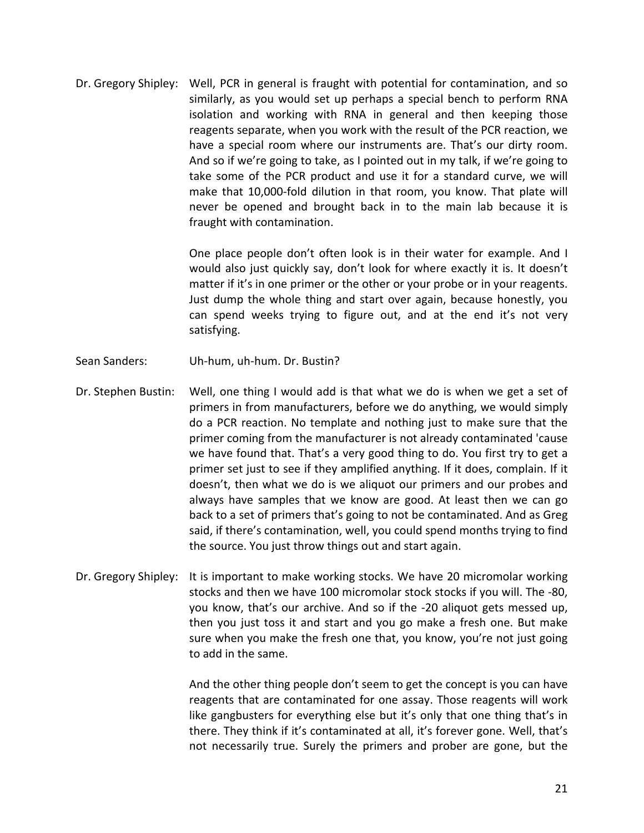Dr. Gregory Shipley: Well, PCR in general is fraught with potential for contamination, and so similarly, as you would set up perhaps a special bench to perform RNA isolation and working with RNA in general and then keeping those reagents separate, when you work with the result of the PCR reaction, we have a special room where our instruments are. That's our dirty room. And so if we're going to take, as I pointed out in my talk, if we're going to take some of the PCR product and use it for a standard curve, we will make that 10,000‐fold dilution in that room, you know. That plate will never be opened and brought back in to the main lab because it is fraught with contamination.

> One place people don't often look is in their water for example. And I would also just quickly say, don't look for where exactly it is. It doesn't matter if it's in one primer or the other or your probe or in your reagents. Just dump the whole thing and start over again, because honestly, you can spend weeks trying to figure out, and at the end it's not very satisfying.

- Sean Sanders: Uh‐hum, uh‐hum. Dr. Bustin?
- Dr. Stephen Bustin: Well, one thing I would add is that what we do is when we get a set of primers in from manufacturers, before we do anything, we would simply do a PCR reaction. No template and nothing just to make sure that the primer coming from the manufacturer is not already contaminated 'cause we have found that. That's a very good thing to do. You first try to get a primer set just to see if they amplified anything. If it does, complain. If it doesn't, then what we do is we aliquot our primers and our probes and always have samples that we know are good. At least then we can go back to a set of primers that's going to not be contaminated. And as Greg said, if there's contamination, well, you could spend months trying to find the source. You just throw things out and start again.
- Dr. Gregory Shipley: It is important to make working stocks. We have 20 micromolar working stocks and then we have 100 micromolar stock stocks if you will. The ‐80, you know, that's our archive. And so if the ‐20 aliquot gets messed up, then you just toss it and start and you go make a fresh one. But make sure when you make the fresh one that, you know, you're not just going to add in the same.

And the other thing people don't seem to get the concept is you can have reagents that are contaminated for one assay. Those reagents will work like gangbusters for everything else but it's only that one thing that's in there. They think if it's contaminated at all, it's forever gone. Well, that's not necessarily true. Surely the primers and prober are gone, but the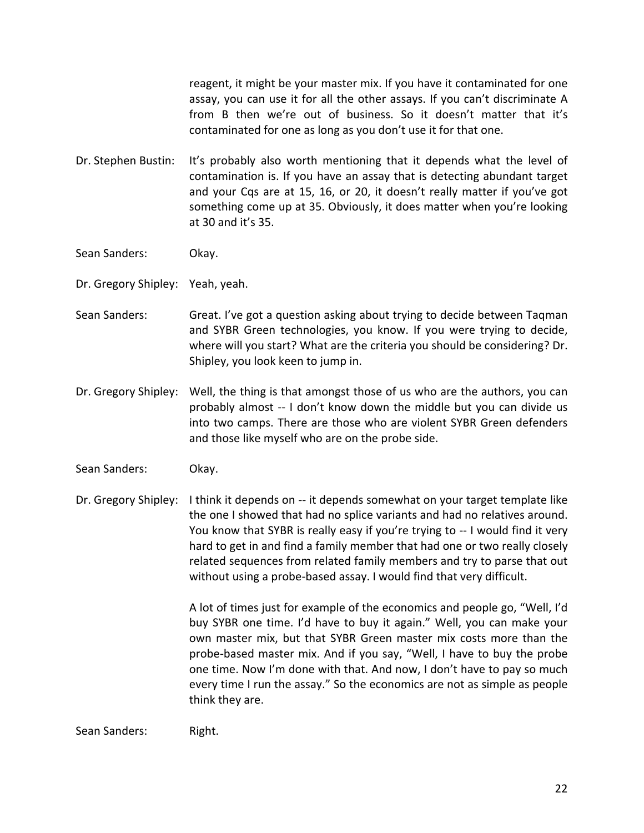reagent, it might be your master mix. If you have it contaminated for one assay, you can use it for all the other assays. If you can't discriminate A from B then we're out of business. So it doesn't matter that it's contaminated for one as long as you don't use it for that one.

- Dr. Stephen Bustin: It's probably also worth mentioning that it depends what the level of contamination is. If you have an assay that is detecting abundant target and your Cqs are at 15, 16, or 20, it doesn't really matter if you've got something come up at 35. Obviously, it does matter when you're looking at 30 and it's 35.
- Sean Sanders: Okay.
- Dr. Gregory Shipley: Yeah, yeah.
- Sean Sanders: Great. I've got a question asking about trying to decide between Taqman and SYBR Green technologies, you know. If you were trying to decide, where will you start? What are the criteria you should be considering? Dr. Shipley, you look keen to jump in.
- Dr. Gregory Shipley: Well, the thing is that amongst those of us who are the authors, you can probably almost ‐‐ I don't know down the middle but you can divide us into two camps. There are those who are violent SYBR Green defenders and those like myself who are on the probe side.
- Sean Sanders: Okay.
- Dr. Gregory Shipley: I think it depends on -- it depends somewhat on your target template like the one I showed that had no splice variants and had no relatives around. You know that SYBR is really easy if you're trying to ‐‐ I would find it very hard to get in and find a family member that had one or two really closely related sequences from related family members and try to parse that out without using a probe‐based assay. I would find that very difficult.

A lot of times just for example of the economics and people go, "Well, I'd buy SYBR one time. I'd have to buy it again." Well, you can make your own master mix, but that SYBR Green master mix costs more than the probe‐based master mix. And if you say, "Well, I have to buy the probe one time. Now I'm done with that. And now, I don't have to pay so much every time I run the assay." So the economics are not as simple as people think they are.

Sean Sanders: Right.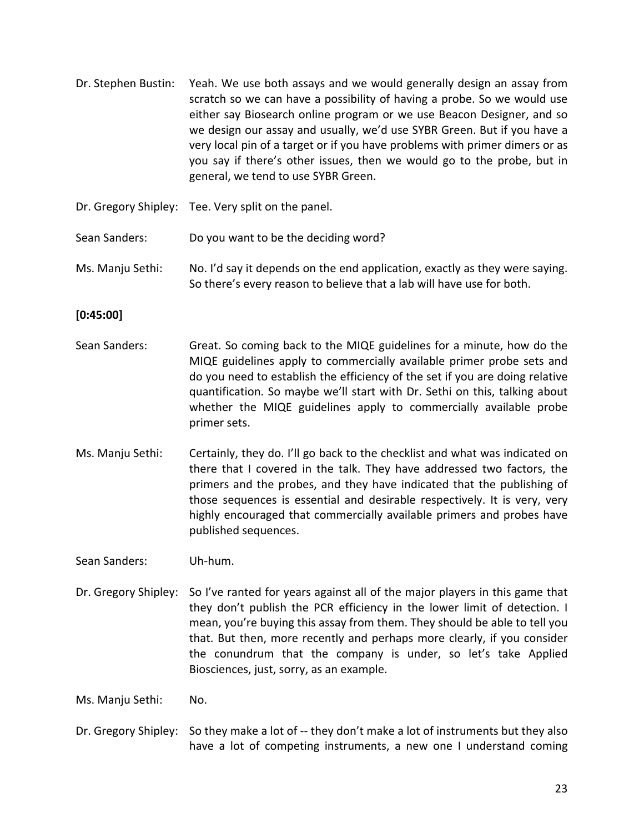- Dr. Stephen Bustin: Yeah. We use both assays and we would generally design an assay from scratch so we can have a possibility of having a probe. So we would use either say Biosearch online program or we use Beacon Designer, and so we design our assay and usually, we'd use SYBR Green. But if you have a very local pin of a target or if you have problems with primer dimers or as you say if there's other issues, then we would go to the probe, but in general, we tend to use SYBR Green.
- Dr. Gregory Shipley: Tee. Very split on the panel.
- Sean Sanders: Do you want to be the deciding word?
- Ms. Manju Sethi: No. I'd say it depends on the end application, exactly as they were saying. So there's every reason to believe that a lab will have use for both.

**[0:45:00]**

- Sean Sanders: Great. So coming back to the MIQE guidelines for a minute, how do the MIQE guidelines apply to commercially available primer probe sets and do you need to establish the efficiency of the set if you are doing relative quantification. So maybe we'll start with Dr. Sethi on this, talking about whether the MIQE guidelines apply to commercially available probe primer sets.
- Ms. Manju Sethi: Certainly, they do. I'll go back to the checklist and what was indicated on there that I covered in the talk. They have addressed two factors, the primers and the probes, and they have indicated that the publishing of those sequences is essential and desirable respectively. It is very, very highly encouraged that commercially available primers and probes have published sequences.

Sean Sanders: Uh‐hum.

Dr. Gregory Shipley: So I've ranted for years against all of the major players in this game that they don't publish the PCR efficiency in the lower limit of detection. I mean, you're buying this assay from them. They should be able to tell you that. But then, more recently and perhaps more clearly, if you consider the conundrum that the company is under, so let's take Applied Biosciences, just, sorry, as an example.

Ms. Manju Sethi: No.

Dr. Gregory Shipley: So they make a lot of -- they don't make a lot of instruments but they also have a lot of competing instruments, a new one I understand coming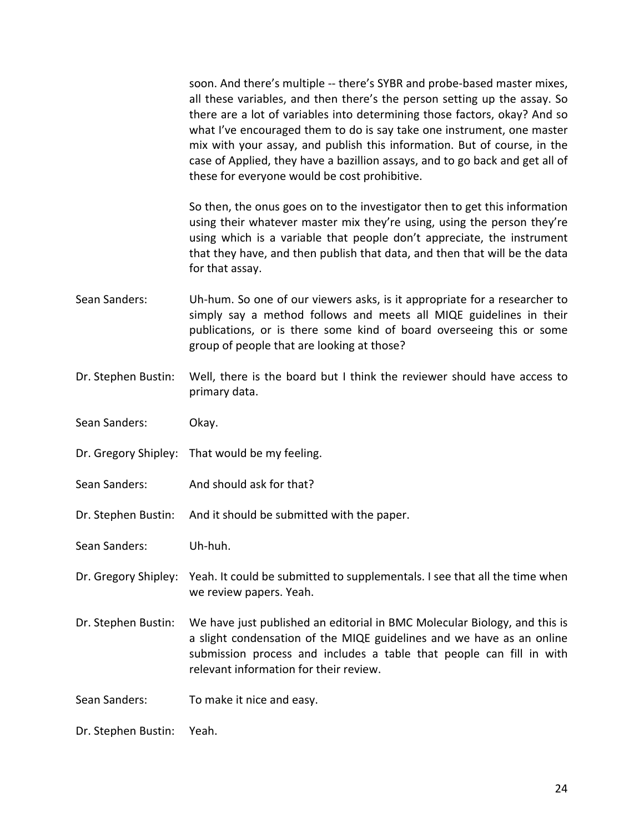soon. And there's multiple -- there's SYBR and probe-based master mixes, all these variables, and then there's the person setting up the assay. So there are a lot of variables into determining those factors, okay? And so what I've encouraged them to do is say take one instrument, one master mix with your assay, and publish this information. But of course, in the case of Applied, they have a bazillion assays, and to go back and get all of these for everyone would be cost prohibitive.

So then, the onus goes on to the investigator then to get this information using their whatever master mix they're using, using the person they're using which is a variable that people don't appreciate, the instrument that they have, and then publish that data, and then that will be the data for that assay.

- Sean Sanders: Uh-hum. So one of our viewers asks, is it appropriate for a researcher to simply say a method follows and meets all MIQE guidelines in their publications, or is there some kind of board overseeing this or some group of people that are looking at those?
- Dr. Stephen Bustin: Well, there is the board but I think the reviewer should have access to primary data.
- Sean Sanders: Okay.
- Dr. Gregory Shipley: That would be my feeling.
- Sean Sanders: And should ask for that?
- Dr. Stephen Bustin: And it should be submitted with the paper.
- Sean Sanders: Uh‐huh.
- Dr. Gregory Shipley: Yeah. It could be submitted to supplementals. I see that all the time when we review papers. Yeah.
- Dr. Stephen Bustin: We have just published an editorial in BMC Molecular Biology, and this is a slight condensation of the MIQE guidelines and we have as an online submission process and includes a table that people can fill in with relevant information for their review.
- Sean Sanders: To make it nice and easy.
- Dr. Stephen Bustin: Yeah.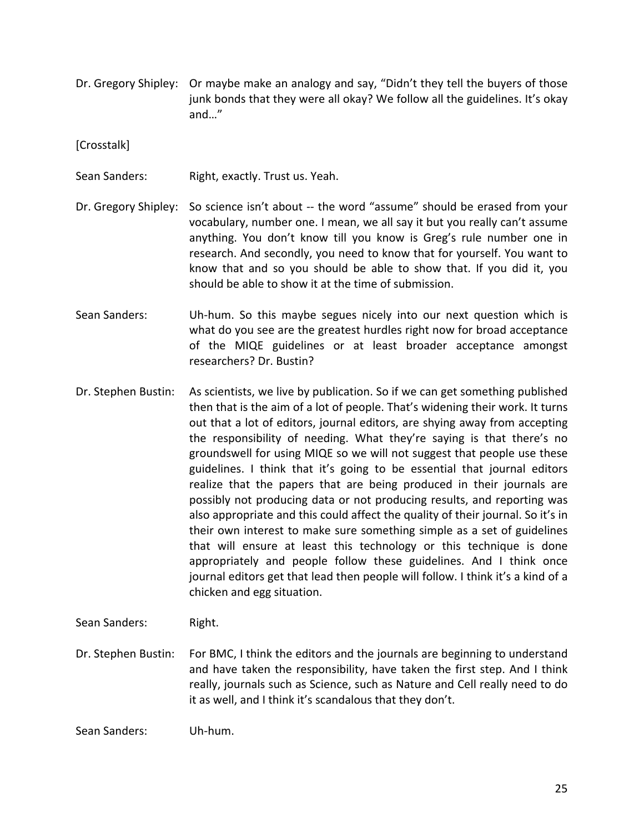Dr. Gregory Shipley: Or maybe make an analogy and say, "Didn't they tell the buyers of those junk bonds that they were all okay? We follow all the guidelines. It's okay and…"

[Crosstalk]

- Sean Sanders: Right, exactly. Trust us. Yeah.
- Dr. Gregory Shipley: So science isn't about -- the word "assume" should be erased from your vocabulary, number one. I mean, we all say it but you really can't assume anything. You don't know till you know is Greg's rule number one in research. And secondly, you need to know that for yourself. You want to know that and so you should be able to show that. If you did it, you should be able to show it at the time of submission.
- Sean Sanders: Uh-hum. So this maybe segues nicely into our next question which is what do you see are the greatest hurdles right now for broad acceptance of the MIQE guidelines or at least broader acceptance amongst researchers? Dr. Bustin?
- Dr. Stephen Bustin: As scientists, we live by publication. So if we can get something published then that is the aim of a lot of people. That's widening their work. It turns out that a lot of editors, journal editors, are shying away from accepting the responsibility of needing. What they're saying is that there's no groundswell for using MIQE so we will not suggest that people use these guidelines. I think that it's going to be essential that journal editors realize that the papers that are being produced in their journals are possibly not producing data or not producing results, and reporting was also appropriate and this could affect the quality of their journal. So it's in their own interest to make sure something simple as a set of guidelines that will ensure at least this technology or this technique is done appropriately and people follow these guidelines. And I think once journal editors get that lead then people will follow. I think it's a kind of a chicken and egg situation.
- Sean Sanders: Right.
- Dr. Stephen Bustin: For BMC, I think the editors and the journals are beginning to understand and have taken the responsibility, have taken the first step. And I think really, journals such as Science, such as Nature and Cell really need to do it as well, and I think it's scandalous that they don't.

Sean Sanders: Uh‐hum.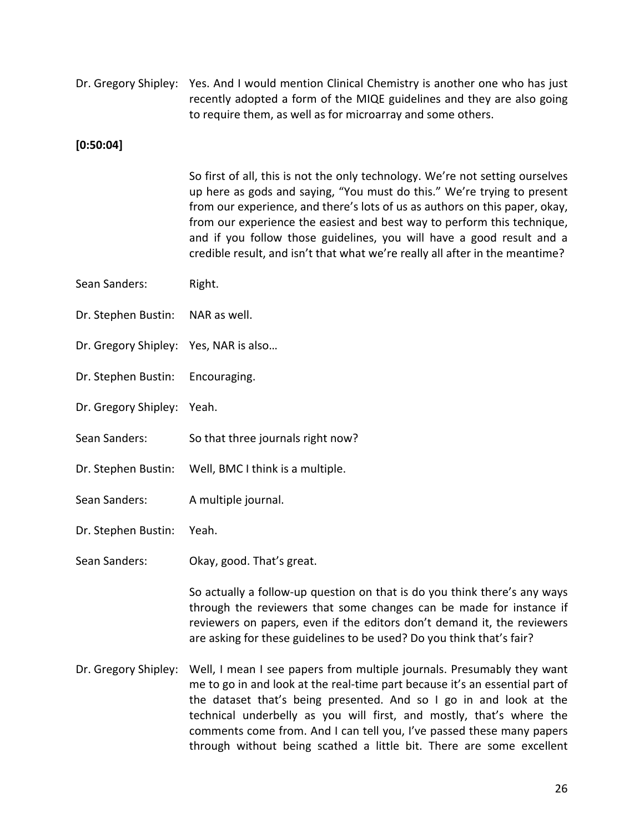Dr. Gregory Shipley: Yes. And I would mention Clinical Chemistry is another one who has just recently adopted a form of the MIQE guidelines and they are also going to require them, as well as for microarray and some others.

# **[0:50:04]**

So first of all, this is not the only technology. We're not setting ourselves up here as gods and saying, "You must do this." We're trying to present from our experience, and there's lots of us as authors on this paper, okay, from our experience the easiest and best way to perform this technique, and if you follow those guidelines, you will have a good result and a credible result, and isn't that what we're really all after in the meantime?

- Sean Sanders: Right.
- Dr. Stephen Bustin: NAR as well.
- Dr. Gregory Shipley: Yes, NAR is also…
- Dr. Stephen Bustin: Encouraging.
- Dr. Gregory Shipley: Yeah.
- Sean Sanders: So that three journals right now?
- Dr. Stephen Bustin: Well, BMC I think is a multiple.
- Sean Sanders: A multiple journal.
- Dr. Stephen Bustin: Yeah.
- Sean Sanders: Okay, good. That's great.

So actually a follow‐up question on that is do you think there's any ways through the reviewers that some changes can be made for instance if reviewers on papers, even if the editors don't demand it, the reviewers are asking for these guidelines to be used? Do you think that's fair?

Dr. Gregory Shipley: Well, I mean I see papers from multiple journals. Presumably they want me to go in and look at the real‐time part because it's an essential part of the dataset that's being presented. And so I go in and look at the technical underbelly as you will first, and mostly, that's where the comments come from. And I can tell you, I've passed these many papers through without being scathed a little bit. There are some excellent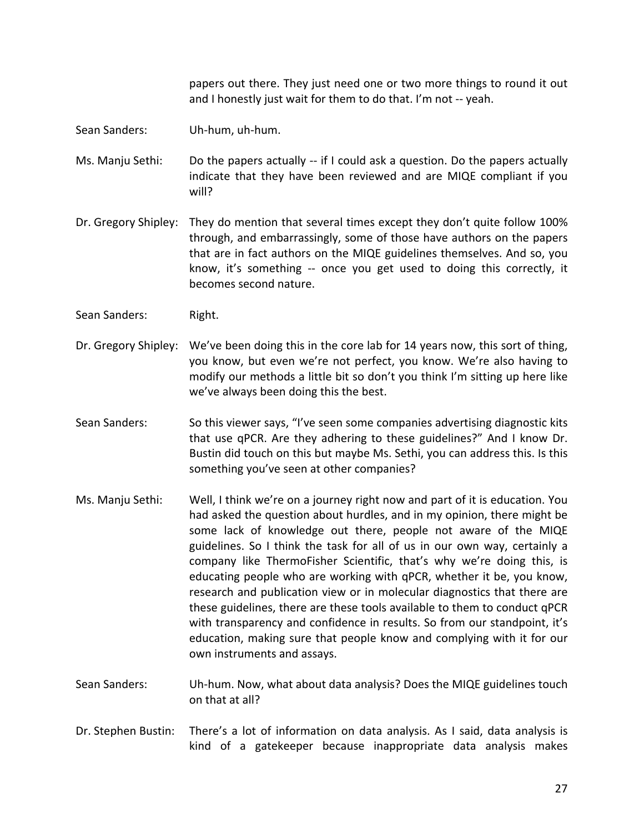papers out there. They just need one or two more things to round it out and I honestly just wait for them to do that. I'm not ‐‐ yeah.

- Sean Sanders: Uh‐hum, uh‐hum.
- Ms. Manju Sethi: Do the papers actually -- if I could ask a question. Do the papers actually indicate that they have been reviewed and are MIQE compliant if you will?
- Dr. Gregory Shipley: They do mention that several times except they don't quite follow 100% through, and embarrassingly, some of those have authors on the papers that are in fact authors on the MIQE guidelines themselves. And so, you know, it's something -- once you get used to doing this correctly, it becomes second nature.
- Sean Sanders: Right.
- Dr. Gregory Shipley: We've been doing this in the core lab for 14 years now, this sort of thing, you know, but even we're not perfect, you know. We're also having to modify our methods a little bit so don't you think I'm sitting up here like we've always been doing this the best.
- Sean Sanders: So this viewer says, "I've seen some companies advertising diagnostic kits that use qPCR. Are they adhering to these guidelines?" And I know Dr. Bustin did touch on this but maybe Ms. Sethi, you can address this. Is this something you've seen at other companies?
- Ms. Manju Sethi: Well, I think we're on a journey right now and part of it is education. You had asked the question about hurdles, and in my opinion, there might be some lack of knowledge out there, people not aware of the MIQE guidelines. So I think the task for all of us in our own way, certainly a company like ThermoFisher Scientific, that's why we're doing this, is educating people who are working with qPCR, whether it be, you know, research and publication view or in molecular diagnostics that there are these guidelines, there are these tools available to them to conduct qPCR with transparency and confidence in results. So from our standpoint, it's education, making sure that people know and complying with it for our own instruments and assays.
- Sean Sanders: Uh‐hum. Now, what about data analysis? Does the MIQE guidelines touch on that at all?
- Dr. Stephen Bustin: There's a lot of information on data analysis. As I said, data analysis is kind of a gatekeeper because inappropriate data analysis makes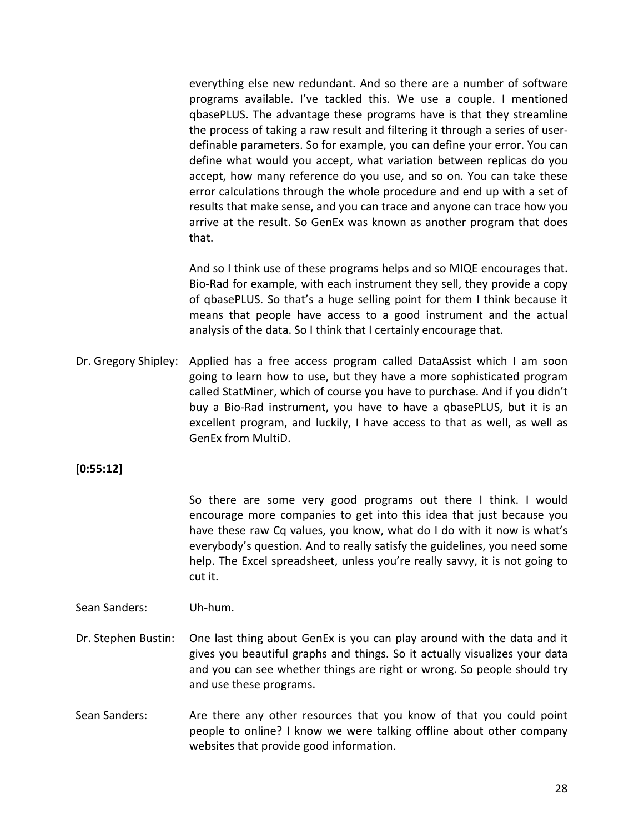everything else new redundant. And so there are a number of software programs available. I've tackled this. We use a couple. I mentioned qbasePLUS. The advantage these programs have is that they streamline the process of taking a raw result and filtering it through a series of user‐ definable parameters. So for example, you can define your error. You can define what would you accept, what variation between replicas do you accept, how many reference do you use, and so on. You can take these error calculations through the whole procedure and end up with a set of results that make sense, and you can trace and anyone can trace how you arrive at the result. So GenEx was known as another program that does that.

And so I think use of these programs helps and so MIQE encourages that. Bio‐Rad for example, with each instrument they sell, they provide a copy of qbasePLUS. So that's a huge selling point for them I think because it means that people have access to a good instrument and the actual analysis of the data. So I think that I certainly encourage that.

Dr. Gregory Shipley: Applied has a free access program called DataAssist which I am soon going to learn how to use, but they have a more sophisticated program called StatMiner, which of course you have to purchase. And if you didn't buy a Bio‐Rad instrument, you have to have a qbasePLUS, but it is an excellent program, and luckily, I have access to that as well, as well as GenEx from MultiD.

**[0:55:12]**

So there are some very good programs out there I think. I would encourage more companies to get into this idea that just because you have these raw Cq values, you know, what do I do with it now is what's everybody's question. And to really satisfy the guidelines, you need some help. The Excel spreadsheet, unless you're really savvy, it is not going to cut it.

Sean Sanders: Uh‐hum.

- Dr. Stephen Bustin: One last thing about GenEx is you can play around with the data and it gives you beautiful graphs and things. So it actually visualizes your data and you can see whether things are right or wrong. So people should try and use these programs.
- Sean Sanders: Are there any other resources that you know of that you could point people to online? I know we were talking offline about other company websites that provide good information.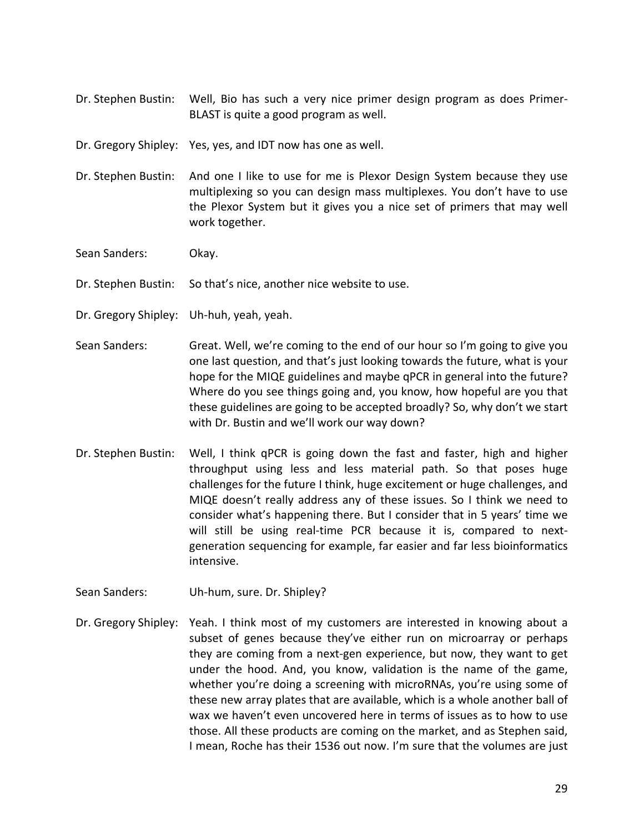Dr. Stephen Bustin: Well, Bio has such a very nice primer design program as does Primer‐ BLAST is quite a good program as well.

Dr. Gregory Shipley: Yes, yes, and IDT now has one as well.

Dr. Stephen Bustin: And one I like to use for me is Plexor Design System because they use multiplexing so you can design mass multiplexes. You don't have to use the Plexor System but it gives you a nice set of primers that may well work together.

Sean Sanders: Okay.

Dr. Stephen Bustin: So that's nice, another nice website to use.

Dr. Gregory Shipley: Uh‐huh, yeah, yeah.

- Sean Sanders: Great. Well, we're coming to the end of our hour so I'm going to give you one last question, and that's just looking towards the future, what is your hope for the MIQE guidelines and maybe qPCR in general into the future? Where do you see things going and, you know, how hopeful are you that these guidelines are going to be accepted broadly? So, why don't we start with Dr. Bustin and we'll work our way down?
- Dr. Stephen Bustin: Well, I think qPCR is going down the fast and faster, high and higher throughput using less and less material path. So that poses huge challenges for the future I think, huge excitement or huge challenges, and MIQE doesn't really address any of these issues. So I think we need to consider what's happening there. But I consider that in 5 years' time we will still be using real-time PCR because it is, compared to nextgeneration sequencing for example, far easier and far less bioinformatics intensive.
- Sean Sanders: Uh-hum, sure. Dr. Shipley?
- Dr. Gregory Shipley: Yeah. I think most of my customers are interested in knowing about a subset of genes because they've either run on microarray or perhaps they are coming from a next‐gen experience, but now, they want to get under the hood. And, you know, validation is the name of the game, whether you're doing a screening with microRNAs, you're using some of these new array plates that are available, which is a whole another ball of wax we haven't even uncovered here in terms of issues as to how to use those. All these products are coming on the market, and as Stephen said, I mean, Roche has their 1536 out now. I'm sure that the volumes are just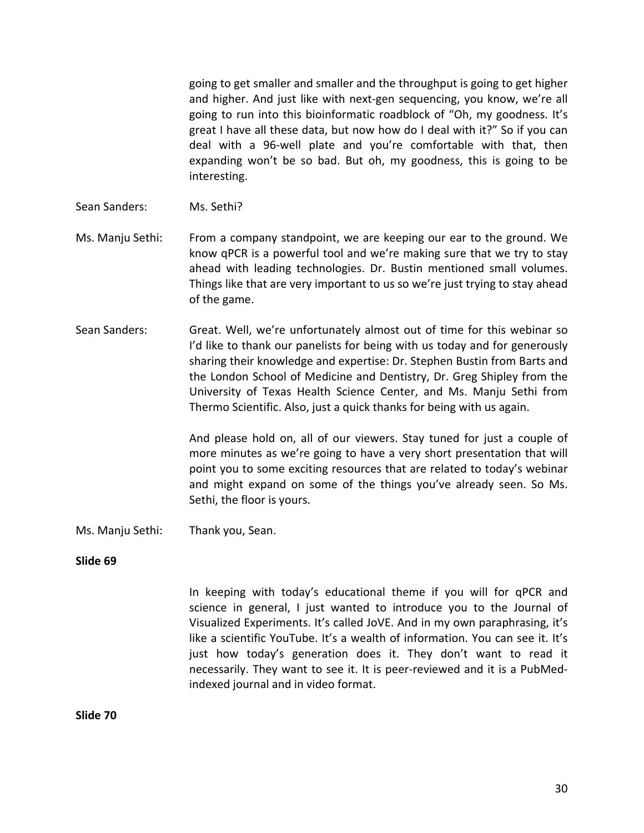going to get smaller and smaller and the throughput is going to get higher and higher. And just like with next‐gen sequencing, you know, we're all going to run into this bioinformatic roadblock of "Oh, my goodness. It's great I have all these data, but now how do I deal with it?" So if you can deal with a 96‐well plate and you're comfortable with that, then expanding won't be so bad. But oh, my goodness, this is going to be interesting.

- Sean Sanders: Ms. Sethi?
- Ms. Manju Sethi: From a company standpoint, we are keeping our ear to the ground. We know qPCR is a powerful tool and we're making sure that we try to stay ahead with leading technologies. Dr. Bustin mentioned small volumes. Things like that are very important to us so we're just trying to stay ahead of the game.
- Sean Sanders: Great. Well, we're unfortunately almost out of time for this webinar so I'd like to thank our panelists for being with us today and for generously sharing their knowledge and expertise: Dr. Stephen Bustin from Barts and the London School of Medicine and Dentistry, Dr. Greg Shipley from the University of Texas Health Science Center, and Ms. Manju Sethi from Thermo Scientific. Also, just a quick thanks for being with us again.

And please hold on, all of our viewers. Stay tuned for just a couple of more minutes as we're going to have a very short presentation that will point you to some exciting resources that are related to today's webinar and might expand on some of the things you've already seen. So Ms. Sethi, the floor is yours.

Ms. Manju Sethi: Thank you, Sean.

### **Slide 69**

In keeping with today's educational theme if you will for qPCR and science in general, I just wanted to introduce you to the Journal of Visualized Experiments. It's called JoVE. And in my own paraphrasing, it's like a scientific YouTube. It's a wealth of information. You can see it. It's just how today's generation does it. They don't want to read it necessarily. They want to see it. It is peer‐reviewed and it is a PubMed‐ indexed journal and in video format.

**Slide 70**